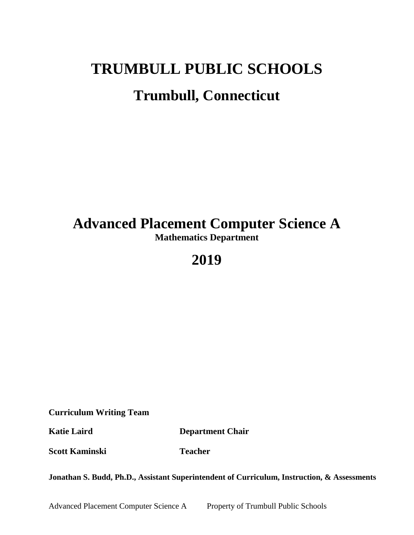# **TRUMBULL PUBLIC SCHOOLS Trumbull, Connecticut**

## **Advanced Placement Computer Science A Mathematics Department**

## **2019**

**Curriculum Writing Team**

**Katie Laird Department Chair**

**Scott Kaminski Teacher** 

**Jonathan S. Budd, Ph.D., Assistant Superintendent of Curriculum, Instruction, & Assessments**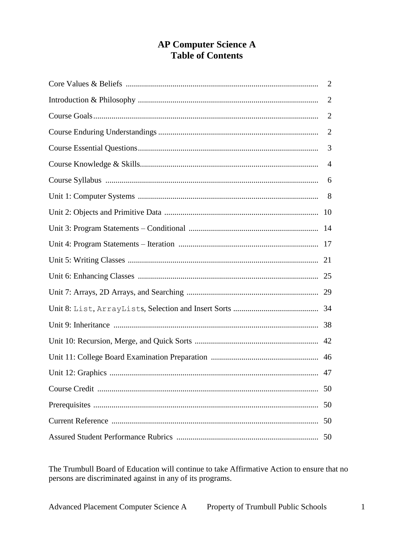## **AP Computer Science A Table of Contents**

| $\overline{2}$ |
|----------------|
| $\overline{2}$ |
| $\overline{2}$ |
| $\overline{2}$ |
| 3              |
| $\overline{4}$ |
|                |
|                |
|                |
|                |
|                |
|                |
|                |
|                |
|                |
|                |
|                |
|                |
|                |
| 50             |
| 50             |
| 50             |
| 50             |

The Trumbull Board of Education will continue to take Affirmative Action to ensure that no persons are discriminated against in any of its programs.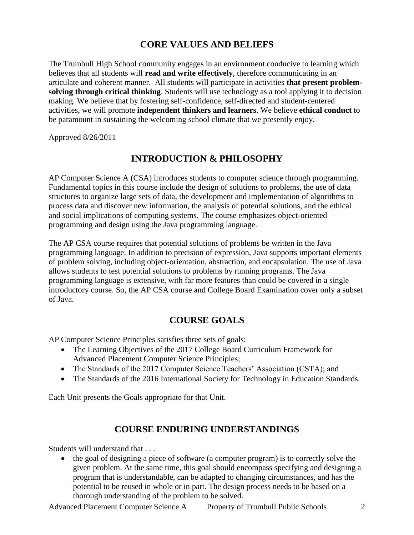## **CORE VALUES AND BELIEFS**

The Trumbull High School community engages in an environment conducive to learning which believes that all students will **read and write effectively**, therefore communicating in an articulate and coherent manner. All students will participate in activities **that present problemsolving through critical thinking**. Students will use technology as a tool applying it to decision making. We believe that by fostering self-confidence, self-directed and student-centered activities, we will promote **independent thinkers and learners**. We believe **ethical conduct** to be paramount in sustaining the welcoming school climate that we presently enjoy.

Approved 8/26/2011

## **INTRODUCTION & PHILOSOPHY**

AP Computer Science A (CSA) introduces students to computer science through programming. Fundamental topics in this course include the design of solutions to problems, the use of data structures to organize large sets of data, the development and implementation of algorithms to process data and discover new information, the analysis of potential solutions, and the ethical and social implications of computing systems. The course emphasizes object-oriented programming and design using the Java programming language.

The AP CSA course requires that potential solutions of problems be written in the Java programming language. In addition to precision of expression, Java supports important elements of problem solving, including object-orientation, abstraction, and encapsulation. The use of Java allows students to test potential solutions to problems by running programs. The Java programming language is extensive, with far more features than could be covered in a single introductory course. So, the AP CSA course and College Board Examination cover only a subset of Java.

## **COURSE GOALS**

AP Computer Science Principles satisfies three sets of goals:

- The Learning Objectives of the 2017 College Board Curriculum Framework for Advanced Placement Computer Science Principles;
- The Standards of the 2017 Computer Science Teachers' Association (CSTA); and
- The Standards of the 2016 International Society for Technology in Education Standards.

Each Unit presents the Goals appropriate for that Unit.

## **COURSE ENDURING UNDERSTANDINGS**

Students will understand that . . .

• the goal of designing a piece of software (a computer program) is to correctly solve the given problem. At the same time, this goal should encompass specifying and designing a program that is understandable, can be adapted to changing circumstances, and has the potential to be reused in whole or in part. The design process needs to be based on a thorough understanding of the problem to be solved.

Advanced Placement Computer Science A Property of Trumbull Public Schools 2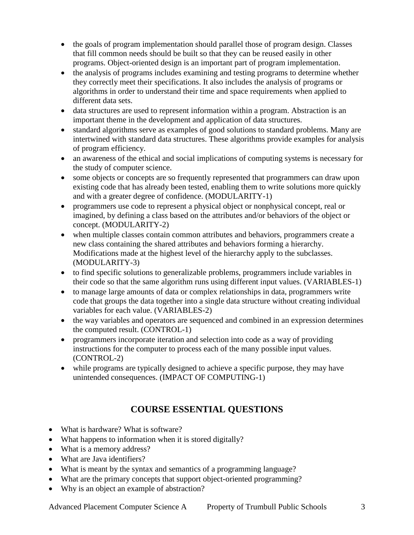- the goals of program implementation should parallel those of program design. Classes that fill common needs should be built so that they can be reused easily in other programs. Object-oriented design is an important part of program implementation.
- the analysis of programs includes examining and testing programs to determine whether they correctly meet their specifications. It also includes the analysis of programs or algorithms in order to understand their time and space requirements when applied to different data sets.
- data structures are used to represent information within a program. Abstraction is an important theme in the development and application of data structures.
- standard algorithms serve as examples of good solutions to standard problems. Many are intertwined with standard data structures. These algorithms provide examples for analysis of program efficiency.
- an awareness of the ethical and social implications of computing systems is necessary for the study of computer science.
- some objects or concepts are so frequently represented that programmers can draw upon existing code that has already been tested, enabling them to write solutions more quickly and with a greater degree of confidence. (MODULARITY-1)
- programmers use code to represent a physical object or nonphysical concept, real or imagined, by defining a class based on the attributes and/or behaviors of the object or concept. (MODULARITY-2)
- when multiple classes contain common attributes and behaviors, programmers create a new class containing the shared attributes and behaviors forming a hierarchy. Modifications made at the highest level of the hierarchy apply to the subclasses. (MODULARITY-3)
- to find specific solutions to generalizable problems, programmers include variables in their code so that the same algorithm runs using different input values. (VARIABLES-1)
- to manage large amounts of data or complex relationships in data, programmers write code that groups the data together into a single data structure without creating individual variables for each value. (VARIABLES-2)
- the way variables and operators are sequenced and combined in an expression determines the computed result. (CONTROL-1)
- programmers incorporate iteration and selection into code as a way of providing instructions for the computer to process each of the many possible input values. (CONTROL-2)
- while programs are typically designed to achieve a specific purpose, they may have unintended consequences. (IMPACT OF COMPUTING-1)

## **COURSE ESSENTIAL QUESTIONS**

- What is hardware? What is software?
- What happens to information when it is stored digitally?
- What is a memory address?
- What are Java identifiers?
- What is meant by the syntax and semantics of a programming language?
- What are the primary concepts that support object-oriented programming?
- Why is an object an example of abstraction?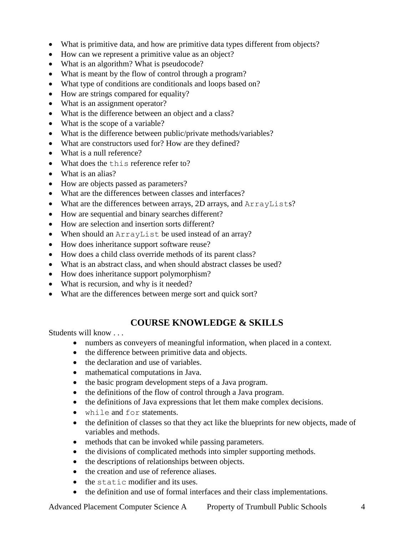- What is primitive data, and how are primitive data types different from objects?
- How can we represent a primitive value as an object?
- What is an algorithm? What is pseudocode?
- What is meant by the flow of control through a program?
- What type of conditions are conditionals and loops based on?
- How are strings compared for equality?
- What is an assignment operator?
- What is the difference between an object and a class?
- What is the scope of a variable?
- What is the difference between public/private methods/variables?
- What are constructors used for? How are they defined?
- What is a null reference?
- What does the this reference refer to?
- What is an alias?
- How are objects passed as parameters?
- What are the differences between classes and interfaces?
- What are the differences between arrays, 2D arrays, and ArrayLists?
- How are sequential and binary searches different?
- How are selection and insertion sorts different?
- When should an ArrayList be used instead of an array?
- How does inheritance support software reuse?
- How does a child class override methods of its parent class?
- What is an abstract class, and when should abstract classes be used?
- How does inheritance support polymorphism?
- What is recursion, and why is it needed?
- What are the differences between merge sort and quick sort?

## **COURSE KNOWLEDGE & SKILLS**

Students will know . . .

- numbers as conveyers of meaningful information, when placed in a context.
- the difference between primitive data and objects.
- the declaration and use of variables.
- mathematical computations in Java.
- the basic program development steps of a Java program.
- the definitions of the flow of control through a Java program.
- the definitions of Java expressions that let them make complex decisions.
- while and for statements.
- the definition of classes so that they act like the blueprints for new objects, made of variables and methods.
- methods that can be invoked while passing parameters.
- the divisions of complicated methods into simpler supporting methods.
- the descriptions of relationships between objects.
- the creation and use of reference aliases.
- the static modifier and its uses.
- the definition and use of formal interfaces and their class implementations.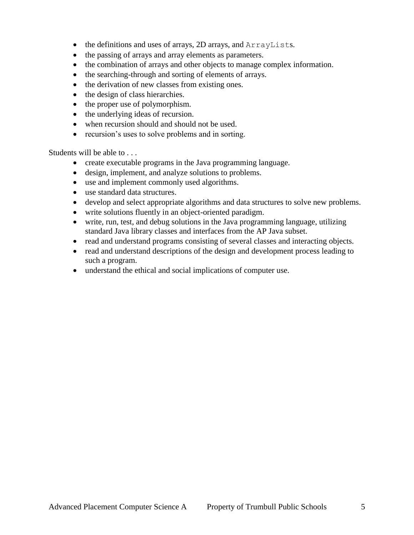- the definitions and uses of arrays, 2D arrays, and ArrayLists.
- the passing of arrays and array elements as parameters.
- the combination of arrays and other objects to manage complex information.
- the searching-through and sorting of elements of arrays.
- the derivation of new classes from existing ones.
- the design of class hierarchies.
- the proper use of polymorphism.
- the underlying ideas of recursion.
- when recursion should and should not be used.
- recursion's uses to solve problems and in sorting.

Students will be able to . . .

- create executable programs in the Java programming language.
- design, implement, and analyze solutions to problems.
- use and implement commonly used algorithms.
- use standard data structures.
- develop and select appropriate algorithms and data structures to solve new problems.
- write solutions fluently in an object-oriented paradigm.
- write, run, test, and debug solutions in the Java programming language, utilizing standard Java library classes and interfaces from the AP Java subset.
- read and understand programs consisting of several classes and interacting objects.
- read and understand descriptions of the design and development process leading to such a program.
- understand the ethical and social implications of computer use.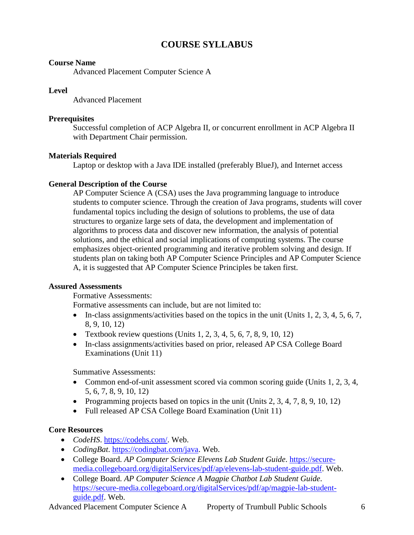## **COURSE SYLLABUS**

#### **Course Name**

Advanced Placement Computer Science A

#### **Level**

Advanced Placement

#### **Prerequisites**

Successful completion of ACP Algebra II, or concurrent enrollment in ACP Algebra II with Department Chair permission.

#### **Materials Required**

Laptop or desktop with a Java IDE installed (preferably BlueJ), and Internet access

#### **General Description of the Course**

AP Computer Science A (CSA) uses the Java programming language to introduce students to computer science. Through the creation of Java programs, students will cover fundamental topics including the design of solutions to problems, the use of data structures to organize large sets of data, the development and implementation of algorithms to process data and discover new information, the analysis of potential solutions, and the ethical and social implications of computing systems. The course emphasizes object-oriented programming and iterative problem solving and design. If students plan on taking both AP Computer Science Principles and AP Computer Science A, it is suggested that AP Computer Science Principles be taken first.

#### **Assured Assessments**

Formative Assessments:

Formative assessments can include, but are not limited to:

- In-class assignments/activities based on the topics in the unit (Units 1, 2, 3, 4, 5, 6, 7, 8, 9, 10, 12)
- Textbook review questions (Units  $1, 2, 3, 4, 5, 6, 7, 8, 9, 10, 12$ )
- In-class assignments/activities based on prior, released AP CSA College Board Examinations (Unit 11)

Summative Assessments:

- Common end-of-unit assessment scored via common scoring guide (Units 1, 2, 3, 4, 5, 6, 7, 8, 9, 10, 12)
- Programming projects based on topics in the unit (Units  $2, 3, 4, 7, 8, 9, 10, 12$ )
- Full released AP CSA College Board Examination (Unit 11)

#### **Core Resources**

- *CodeHS*. [https://codehs.com/.](https://codehs.com/) Web.
- *CodingBat*. [https://codingbat.com/java.](https://codingbat.com/java) Web.
- College Board. *AP Computer Science Elevens Lab Student Guide*. [https://secure](https://secure-media.collegeboard.org/digitalServices/pdf/ap/elevens-lab-student-guide.pdf)[media.collegeboard.org/digitalServices/pdf/ap/elevens-lab-student-guide.pdf.](https://secure-media.collegeboard.org/digitalServices/pdf/ap/elevens-lab-student-guide.pdf) Web.
- College Board. *AP Computer Science A Magpie Chatbot Lab Student Guide*. [https://secure-media.collegeboard.org/digitalServices/pdf/ap/magpie-lab-student](https://secure-media.collegeboard.org/digitalServices/pdf/ap/magpie-lab-student-guide.pdf)[guide.pdf.](https://secure-media.collegeboard.org/digitalServices/pdf/ap/magpie-lab-student-guide.pdf) Web.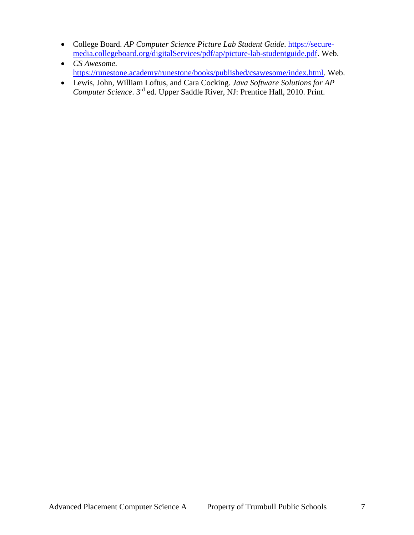- College Board. *AP Computer Science Picture Lab Student Guide*. [https://secure](https://secure-media.collegeboard.org/digitalServices/pdf/ap/picture-lab-studentguide.pdf)[media.collegeboard.org/digitalServices/pdf/ap/picture-lab-studentguide.pdf.](https://secure-media.collegeboard.org/digitalServices/pdf/ap/picture-lab-studentguide.pdf) Web.
- *CS Awesome*. [https://runestone.academy/runestone/books/published/csawesome/index.html.](https://runestone.academy/runestone/books/published/csawesome/index.html) Web.
- Lewis, John, William Loftus, and Cara Cocking. *Java Software Solutions for AP Computer Science*. 3rd ed. Upper Saddle River, NJ: Prentice Hall, 2010. Print.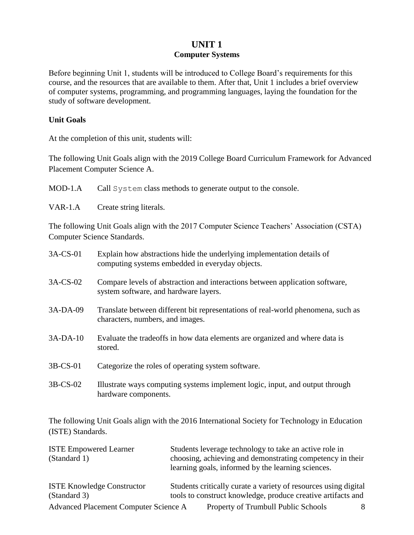## **UNIT 1 Computer Systems**

Before beginning Unit 1, students will be introduced to College Board's requirements for this course, and the resources that are available to them. After that, Unit 1 includes a brief overview of computer systems, programming, and programming languages, laying the foundation for the study of software development.

#### **Unit Goals**

At the completion of this unit, students will:

The following Unit Goals align with the 2019 College Board Curriculum Framework for Advanced Placement Computer Science A.

MOD-1.A Call System class methods to generate output to the console.

VAR-1.A Create string literals.

The following Unit Goals align with the 2017 Computer Science Teachers' Association (CSTA) Computer Science Standards.

| 3A-CS-01    | Explain how abstractions hide the underlying implementation details of<br>computing systems embedded in everyday objects. |
|-------------|---------------------------------------------------------------------------------------------------------------------------|
| $3A$ -CS-02 | Compare levels of abstraction and interactions between application software,<br>system software, and hardware layers.     |
| 3A-DA-09    | Translate between different bit representations of real-world phenomena, such as<br>characters, numbers, and images.      |
| $3A-DA-10$  | Evaluate the tradeoffs in how data elements are organized and where data is<br>stored.                                    |
| 3B-CS-01    | Categorize the roles of operating system software.                                                                        |
| 3B-CS-02    | Illustrate ways computing systems implement logic, input, and output through<br>hardware components.                      |

The following Unit Goals align with the 2016 International Society for Technology in Education (ISTE) Standards.

| <b>ISTE Empowered Learner</b>         | Students leverage technology to take an active role in                                                          |
|---------------------------------------|-----------------------------------------------------------------------------------------------------------------|
| (Standard 1)                          | choosing, achieving and demonstrating competency in their<br>learning goals, informed by the learning sciences. |
| <b>ISTE Knowledge Constructor</b>     | Students critically curate a variety of resources using digital                                                 |
| (Standard 3)                          | tools to construct knowledge, produce creative artifacts and                                                    |
| Advanced Placement Computer Science A | Property of Trumbull Public Schools<br>8                                                                        |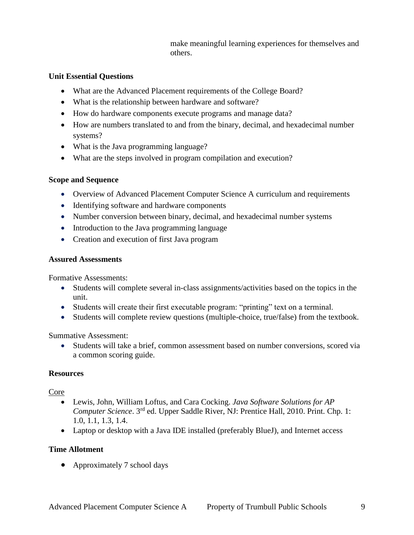make meaningful learning experiences for themselves and others.

#### **Unit Essential Questions**

- What are the Advanced Placement requirements of the College Board?
- What is the relationship between hardware and software?
- How do hardware components execute programs and manage data?
- How are numbers translated to and from the binary, decimal, and hexadecimal number systems?
- What is the Java programming language?
- What are the steps involved in program compilation and execution?

#### **Scope and Sequence**

- Overview of Advanced Placement Computer Science A curriculum and requirements
- Identifying software and hardware components
- Number conversion between binary, decimal, and hexadecimal number systems
- Introduction to the Java programming language
- Creation and execution of first Java program

#### **Assured Assessments**

Formative Assessments:

- Students will complete several in-class assignments/activities based on the topics in the unit.
- Students will create their first executable program: "printing" text on a terminal.
- Students will complete review questions (multiple-choice, true/false) from the textbook.

Summative Assessment:

 Students will take a brief, common assessment based on number conversions, scored via a common scoring guide.

#### **Resources**

Core

- Lewis, John, William Loftus, and Cara Cocking. *Java Software Solutions for AP Computer Science*. 3rd ed. Upper Saddle River, NJ: Prentice Hall, 2010. Print. Chp. 1: 1.0, 1.1, 1.3, 1.4.
- Laptop or desktop with a Java IDE installed (preferably BlueJ), and Internet access

#### **Time Allotment**

• Approximately 7 school days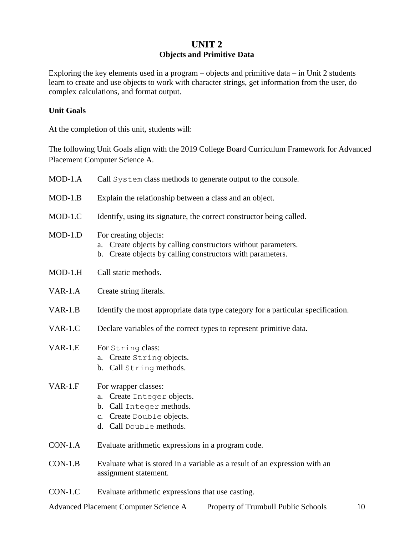## **UNIT 2 Objects and Primitive Data**

Exploring the key elements used in a program – objects and primitive data – in Unit 2 students learn to create and use objects to work with character strings, get information from the user, do complex calculations, and format output.

#### **Unit Goals**

At the completion of this unit, students will:

The following Unit Goals align with the 2019 College Board Curriculum Framework for Advanced Placement Computer Science A.

| $MOD-1.A$ | Call System class methods to generate output to the console.                                                                                            |  |
|-----------|---------------------------------------------------------------------------------------------------------------------------------------------------------|--|
| $MOD-1.B$ | Explain the relationship between a class and an object.                                                                                                 |  |
| $MOD-1.C$ | Identify, using its signature, the correct constructor being called.                                                                                    |  |
| $MOD-1.D$ | For creating objects:<br>Create objects by calling constructors without parameters.<br>a.<br>b. Create objects by calling constructors with parameters. |  |
| $MOD-1.H$ | Call static methods.                                                                                                                                    |  |
| $VAR-1.A$ | Create string literals.                                                                                                                                 |  |
| $VAR-1.B$ | Identify the most appropriate data type category for a particular specification.                                                                        |  |
| $VAR-1.C$ | Declare variables of the correct types to represent primitive data.                                                                                     |  |
| $VAR-1.E$ | For String class:<br>a. Create String objects.<br>b. Call String methods.                                                                               |  |
| $VAR-1.F$ | For wrapper classes:<br>Create Integer objects.<br>a.<br>b. Call Integer methods.<br>c. Create Double objects.<br>d. Call Double methods.               |  |
| $CON-1.A$ | Evaluate arithmetic expressions in a program code.                                                                                                      |  |
| $CON-1.B$ | Evaluate what is stored in a variable as a result of an expression with an<br>assignment statement.                                                     |  |
| $CON-1.C$ | Evaluate arithmetic expressions that use casting.                                                                                                       |  |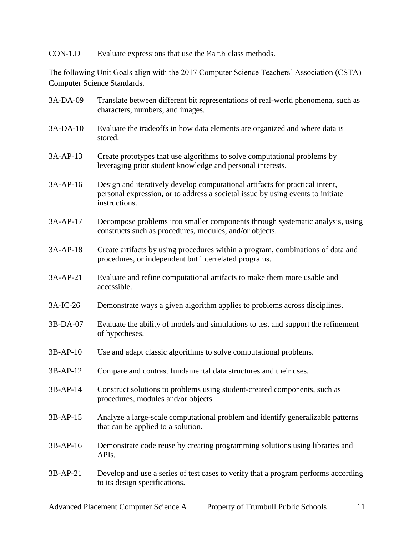CON-1.D Evaluate expressions that use the Math class methods.

The following Unit Goals align with the 2017 Computer Science Teachers' Association (CSTA) Computer Science Standards.

| 3A-DA-09 | Translate between different bit representations of real-world phenomena, such as<br>characters, numbers, and images.                                                             |
|----------|----------------------------------------------------------------------------------------------------------------------------------------------------------------------------------|
| 3A-DA-10 | Evaluate the tradeoffs in how data elements are organized and where data is<br>stored.                                                                                           |
| 3A-AP-13 | Create prototypes that use algorithms to solve computational problems by<br>leveraging prior student knowledge and personal interests.                                           |
| 3A-AP-16 | Design and iteratively develop computational artifacts for practical intent,<br>personal expression, or to address a societal issue by using events to initiate<br>instructions. |
| 3A-AP-17 | Decompose problems into smaller components through systematic analysis, using<br>constructs such as procedures, modules, and/or objects.                                         |
| 3A-AP-18 | Create artifacts by using procedures within a program, combinations of data and<br>procedures, or independent but interrelated programs.                                         |
| 3A-AP-21 | Evaluate and refine computational artifacts to make them more usable and<br>accessible.                                                                                          |
| 3A-IC-26 | Demonstrate ways a given algorithm applies to problems across disciplines.                                                                                                       |
| 3B-DA-07 | Evaluate the ability of models and simulations to test and support the refinement<br>of hypotheses.                                                                              |
| 3B-AP-10 | Use and adapt classic algorithms to solve computational problems.                                                                                                                |
| 3B-AP-12 | Compare and contrast fundamental data structures and their uses.                                                                                                                 |
| 3B-AP-14 | Construct solutions to problems using student-created components, such as<br>procedures, modules and/or objects.                                                                 |
| 3B-AP-15 | Analyze a large-scale computational problem and identify generalizable patterns<br>that can be applied to a solution.                                                            |
| 3B-AP-16 | Demonstrate code reuse by creating programming solutions using libraries and<br>APIs.                                                                                            |
| 3B-AP-21 | Develop and use a series of test cases to verify that a program performs according<br>to its design specifications.                                                              |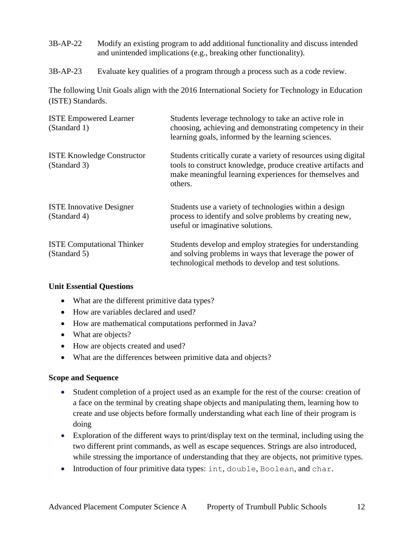- 3B-AP-22 Modify an existing program to add additional functionality and discuss intended and unintended implications (e.g., breaking other functionality).
- 3B-AP-23 Evaluate key qualities of a program through a process such as a code review.

The following Unit Goals align with the 2016 International Society for Technology in Education (ISTE) Standards.

| <b>ISTE Empowered Learner</b><br>(Standard 1)     | Students leverage technology to take an active role in<br>choosing, achieving and demonstrating competency in their<br>learning goals, informed by the learning sciences.                             |
|---------------------------------------------------|-------------------------------------------------------------------------------------------------------------------------------------------------------------------------------------------------------|
| <b>ISTE Knowledge Constructor</b><br>(Standard 3) | Students critically curate a variety of resources using digital<br>tools to construct knowledge, produce creative artifacts and<br>make meaningful learning experiences for themselves and<br>others. |
| <b>ISTE Innovative Designer</b><br>(Standard 4)   | Students use a variety of technologies within a design<br>process to identify and solve problems by creating new,<br>useful or imaginative solutions.                                                 |
| <b>ISTE Computational Thinker</b><br>(Standard 5) | Students develop and employ strategies for understanding<br>and solving problems in ways that leverage the power of<br>technological methods to develop and test solutions.                           |

#### **Unit Essential Questions**

- What are the different primitive data types?
- How are variables declared and used?
- How are mathematical computations performed in Java?
- What are objects?
- How are objects created and used?
- What are the differences between primitive data and objects?

#### **Scope and Sequence**

- Student completion of a project used as an example for the rest of the course: creation of a face on the terminal by creating shape objects and manipulating them, learning how to create and use objects before formally understanding what each line of their program is doing
- Exploration of the different ways to print/display text on the terminal, including using the two different print commands, as well as escape sequences. Strings are also introduced, while stressing the importance of understanding that they are objects, not primitive types.
- Introduction of four primitive data types: int, double, Boolean, and char.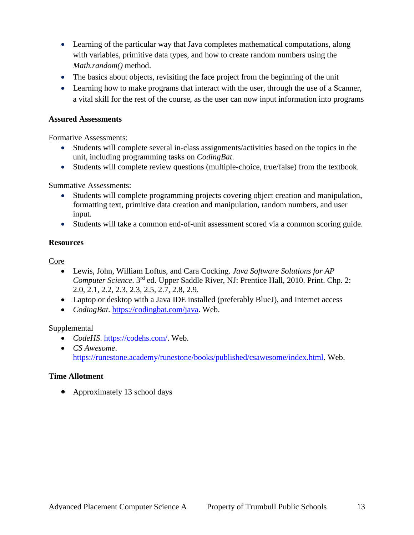- Learning of the particular way that Java completes mathematical computations, along with variables, primitive data types, and how to create random numbers using the *Math.random()* method.
- The basics about objects, revisiting the face project from the beginning of the unit
- Learning how to make programs that interact with the user, through the use of a Scanner, a vital skill for the rest of the course, as the user can now input information into programs

#### **Assured Assessments**

Formative Assessments:

- Students will complete several in-class assignments/activities based on the topics in the unit, including programming tasks on *CodingBat*.
- Students will complete review questions (multiple-choice, true/false) from the textbook.

#### Summative Assessments:

- Students will complete programming projects covering object creation and manipulation, formatting text, primitive data creation and manipulation, random numbers, and user input.
- Students will take a common end-of-unit assessment scored via a common scoring guide.

#### **Resources**

Core

- Lewis, John, William Loftus, and Cara Cocking. *Java Software Solutions for AP Computer Science*. 3rd ed. Upper Saddle River, NJ: Prentice Hall, 2010. Print. Chp. 2: 2.0, 2.1, 2.2, 2.3, 2.3, 2.5, 2.7, 2.8, 2.9.
- Laptop or desktop with a Java IDE installed (preferably BlueJ), and Internet access
- *CodingBat*. [https://codingbat.com/java.](https://codingbat.com/java) Web.

#### **Supplemental**

- *CodeHS*. [https://codehs.com/.](https://codehs.com/) Web.
- *CS Awesome*. [https://runestone.academy/runestone/books/published/csawesome/index.html.](https://runestone.academy/runestone/books/published/csawesome/index.html) Web.

#### **Time Allotment**

• Approximately 13 school days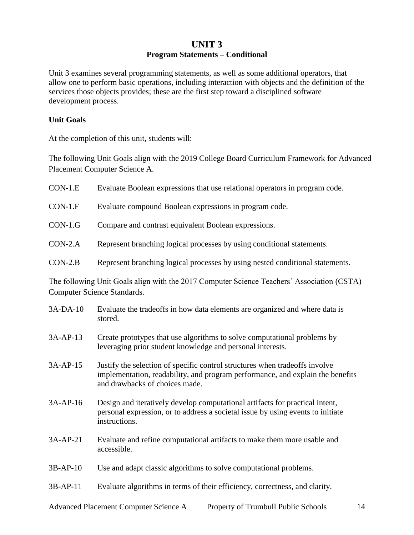## **UNIT 3 Program Statements – Conditional**

Unit 3 examines several programming statements, as well as some additional operators, that allow one to perform basic operations, including interaction with objects and the definition of the services those objects provides; these are the first step toward a disciplined software development process.

#### **Unit Goals**

At the completion of this unit, students will:

The following Unit Goals align with the 2019 College Board Curriculum Framework for Advanced Placement Computer Science A.

| $CON-1.E$ | Evaluate Boolean expressions that use relational operators in program code.   |
|-----------|-------------------------------------------------------------------------------|
| $CON-1.F$ | Evaluate compound Boolean expressions in program code.                        |
| $CON-1.G$ | Compare and contrast equivalent Boolean expressions.                          |
| $CON-2.A$ | Represent branching logical processes by using conditional statements.        |
| $CON-2.B$ | Represent branching logical processes by using nested conditional statements. |

The following Unit Goals align with the 2017 Computer Science Teachers' Association (CSTA) Computer Science Standards.

| $3A-DA-10$ | Evaluate the tradeoffs in how data elements are organized and where data is<br>stored.                                                                                                          |
|------------|-------------------------------------------------------------------------------------------------------------------------------------------------------------------------------------------------|
| $3A-AP-13$ | Create prototypes that use algorithms to solve computational problems by<br>leveraging prior student knowledge and personal interests.                                                          |
| $3A-AP-15$ | Justify the selection of specific control structures when tradeoffs involve<br>implementation, readability, and program performance, and explain the benefits<br>and drawbacks of choices made. |
| $3A-AP-16$ | Design and iteratively develop computational artifacts for practical intent,<br>personal expression, or to address a societal issue by using events to initiate<br>instructions.                |
| 3A-AP-21   | Evaluate and refine computational artifacts to make them more usable and<br>accessible.                                                                                                         |
| $3B-AP-10$ | Use and adapt classic algorithms to solve computational problems.                                                                                                                               |
| $3B-AP-11$ | Evaluate algorithms in terms of their efficiency, correctness, and clarity.                                                                                                                     |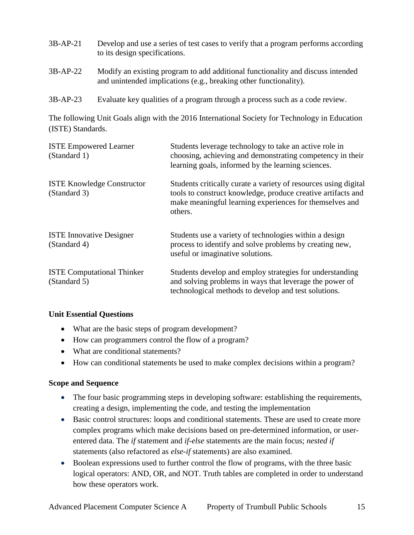| 3B-AP-21 | Develop and use a series of test cases to verify that a program performs according |
|----------|------------------------------------------------------------------------------------|
|          | to its design specifications.                                                      |

- 3B-AP-22 Modify an existing program to add additional functionality and discuss intended and unintended implications (e.g., breaking other functionality).
- 3B-AP-23 Evaluate key qualities of a program through a process such as a code review.

The following Unit Goals align with the 2016 International Society for Technology in Education (ISTE) Standards.

| <b>ISTE Empowered Learner</b><br>(Standard 1)     | Students leverage technology to take an active role in<br>choosing, achieving and demonstrating competency in their<br>learning goals, informed by the learning sciences.                             |
|---------------------------------------------------|-------------------------------------------------------------------------------------------------------------------------------------------------------------------------------------------------------|
| <b>ISTE Knowledge Constructor</b><br>(Standard 3) | Students critically curate a variety of resources using digital<br>tools to construct knowledge, produce creative artifacts and<br>make meaningful learning experiences for themselves and<br>others. |
| <b>ISTE Innovative Designer</b><br>(Standard 4)   | Students use a variety of technologies within a design<br>process to identify and solve problems by creating new,<br>useful or imaginative solutions.                                                 |
| <b>ISTE Computational Thinker</b><br>(Standard 5) | Students develop and employ strategies for understanding<br>and solving problems in ways that leverage the power of<br>technological methods to develop and test solutions.                           |

#### **Unit Essential Questions**

- What are the basic steps of program development?
- How can programmers control the flow of a program?
- What are conditional statements?
- How can conditional statements be used to make complex decisions within a program?

#### **Scope and Sequence**

- The four basic programming steps in developing software: establishing the requirements, creating a design, implementing the code, and testing the implementation
- Basic control structures: loops and conditional statements. These are used to create more complex programs which make decisions based on pre-determined information, or userentered data. The *if* statement and *if-else* statements are the main focus; *nested if* statements (also refactored as *else-if* statements) are also examined.
- Boolean expressions used to further control the flow of programs, with the three basic logical operators: AND, OR, and NOT. Truth tables are completed in order to understand how these operators work.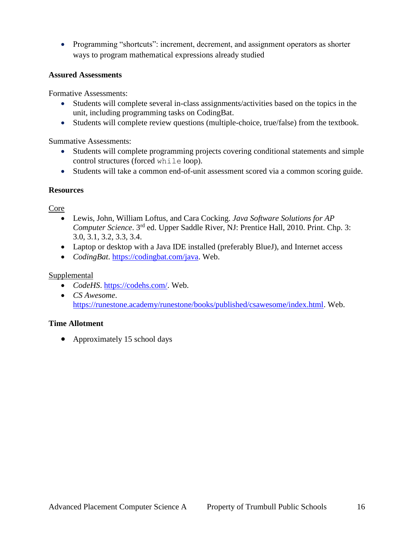• Programming "shortcuts": increment, decrement, and assignment operators as shorter ways to program mathematical expressions already studied

#### **Assured Assessments**

Formative Assessments:

- Students will complete several in-class assignments/activities based on the topics in the unit, including programming tasks on CodingBat.
- Students will complete review questions (multiple-choice, true/false) from the textbook.

Summative Assessments:

- Students will complete programming projects covering conditional statements and simple control structures (forced while loop).
- Students will take a common end-of-unit assessment scored via a common scoring guide.

#### **Resources**

#### Core

- Lewis, John, William Loftus, and Cara Cocking. *Java Software Solutions for AP Computer Science.* 3<sup>rd</sup> ed. Upper Saddle River, NJ: Prentice Hall, 2010. Print. Chp. 3: 3.0, 3.1, 3.2, 3.3, 3.4.
- Laptop or desktop with a Java IDE installed (preferably BlueJ), and Internet access
- *CodingBat*. [https://codingbat.com/java.](https://codingbat.com/java) Web.

## Supplemental

- *CodeHS*. [https://codehs.com/.](https://codehs.com/) Web.
- *CS Awesome*. [https://runestone.academy/runestone/books/published/csawesome/index.html.](https://runestone.academy/runestone/books/published/csawesome/index.html) Web.

#### **Time Allotment**

• Approximately 15 school days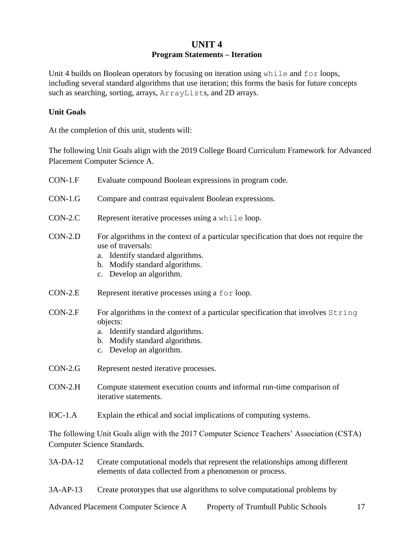## **UNIT 4 Program Statements – Iteration**

Unit 4 builds on Boolean operators by focusing on iteration using while and for loops, including several standard algorithms that use iteration; this forms the basis for future concepts such as searching, sorting, arrays, ArrayLists, and 2D arrays.

#### **Unit Goals**

At the completion of this unit, students will:

The following Unit Goals align with the 2019 College Board Curriculum Framework for Advanced Placement Computer Science A.

| $CON-1.F$ | Evaluate compound Boolean expressions in program code.                                                                                                                                                           |  |
|-----------|------------------------------------------------------------------------------------------------------------------------------------------------------------------------------------------------------------------|--|
| $CON-1.G$ | Compare and contrast equivalent Boolean expressions.                                                                                                                                                             |  |
| $CON-2.C$ | Represent iterative processes using a while loop.                                                                                                                                                                |  |
| $CON-2.D$ | For algorithms in the context of a particular specification that does not require the<br>use of traversals:<br>Identify standard algorithms.<br>a.<br>b. Modify standard algorithms.<br>c. Develop an algorithm. |  |
| $CON-2.E$ | Represent iterative processes using a for loop.                                                                                                                                                                  |  |
| $CON-2.F$ | For algorithms in the context of a particular specification that involves String<br>objects:<br>a. Identify standard algorithms.<br>b. Modify standard algorithms.<br>c. Develop an algorithm.                   |  |
| $CON-2.G$ | Represent nested iterative processes.                                                                                                                                                                            |  |
| $CON-2.H$ | Compute statement execution counts and informal run-time comparison of<br>iterative statements.                                                                                                                  |  |
| $IOC-1.A$ | Explain the ethical and social implications of computing systems.                                                                                                                                                |  |
|           | The following Unit Goals align with the 2017 Computer Science Teachers' Association (CSTA)<br>Computer Science Standards.                                                                                        |  |
| 3A-DA-12  | Create computational models that represent the relationships among different<br>elements of data collected from a phenomenon or process.                                                                         |  |

3A-AP-13 Create prototypes that use algorithms to solve computational problems by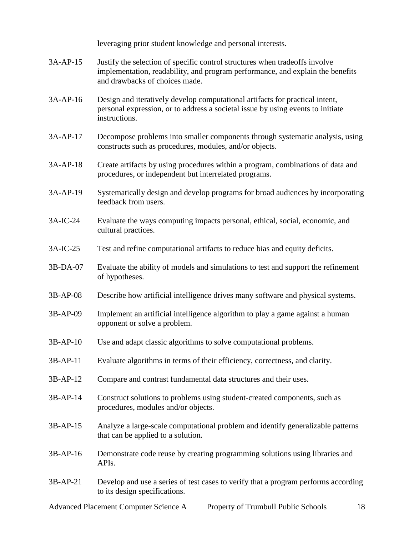leveraging prior student knowledge and personal interests.

- 3A-AP-15 Justify the selection of specific control structures when tradeoffs involve implementation, readability, and program performance, and explain the benefits and drawbacks of choices made.
- 3A-AP-16 Design and iteratively develop computational artifacts for practical intent, personal expression, or to address a societal issue by using events to initiate instructions.
- 3A-AP-17 Decompose problems into smaller components through systematic analysis, using constructs such as procedures, modules, and/or objects.
- 3A-AP-18 Create artifacts by using procedures within a program, combinations of data and procedures, or independent but interrelated programs.
- 3A-AP-19 Systematically design and develop programs for broad audiences by incorporating feedback from users.
- 3A-IC-24 Evaluate the ways computing impacts personal, ethical, social, economic, and cultural practices.
- 3A-IC-25 Test and refine computational artifacts to reduce bias and equity deficits.
- 3B-DA-07 Evaluate the ability of models and simulations to test and support the refinement of hypotheses.
- 3B-AP-08 Describe how artificial intelligence drives many software and physical systems.
- 3B-AP-09 Implement an artificial intelligence algorithm to play a game against a human opponent or solve a problem.
- 3B-AP-10 Use and adapt classic algorithms to solve computational problems.
- 3B-AP-11 Evaluate algorithms in terms of their efficiency, correctness, and clarity.
- 3B-AP-12 Compare and contrast fundamental data structures and their uses.
- 3B-AP-14 Construct solutions to problems using student-created components, such as procedures, modules and/or objects.
- 3B-AP-15 Analyze a large-scale computational problem and identify generalizable patterns that can be applied to a solution.
- 3B-AP-16 Demonstrate code reuse by creating programming solutions using libraries and APIs.
- 3B-AP-21 Develop and use a series of test cases to verify that a program performs according to its design specifications.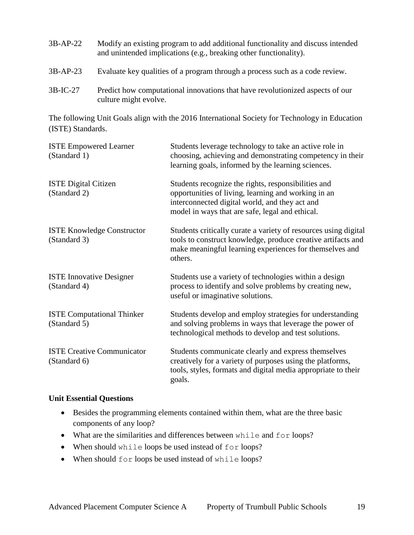- 3B-AP-22 Modify an existing program to add additional functionality and discuss intended and unintended implications (e.g., breaking other functionality). 3B-AP-23 Evaluate key qualities of a program through a process such as a code review.
- 3B-IC-27 Predict how computational innovations that have revolutionized aspects of our culture might evolve.

The following Unit Goals align with the 2016 International Society for Technology in Education (ISTE) Standards.

| <b>ISTE Empowered Learner</b><br>(Standard 1)     | Students leverage technology to take an active role in<br>choosing, achieving and demonstrating competency in their<br>learning goals, informed by the learning sciences.                                       |
|---------------------------------------------------|-----------------------------------------------------------------------------------------------------------------------------------------------------------------------------------------------------------------|
| <b>ISTE Digital Citizen</b><br>(Standard 2)       | Students recognize the rights, responsibilities and<br>opportunities of living, learning and working in an<br>interconnected digital world, and they act and<br>model in ways that are safe, legal and ethical. |
| <b>ISTE Knowledge Constructor</b><br>(Standard 3) | Students critically curate a variety of resources using digital<br>tools to construct knowledge, produce creative artifacts and<br>make meaningful learning experiences for themselves and<br>others.           |
| <b>ISTE Innovative Designer</b><br>(Standard 4)   | Students use a variety of technologies within a design<br>process to identify and solve problems by creating new,<br>useful or imaginative solutions.                                                           |
| <b>ISTE Computational Thinker</b><br>(Standard 5) | Students develop and employ strategies for understanding<br>and solving problems in ways that leverage the power of<br>technological methods to develop and test solutions.                                     |
| <b>ISTE Creative Communicator</b><br>(Standard 6) | Students communicate clearly and express themselves<br>creatively for a variety of purposes using the platforms,<br>tools, styles, formats and digital media appropriate to their<br>goals.                     |

#### **Unit Essential Questions**

- Besides the programming elements contained within them, what are the three basic components of any loop?
- What are the similarities and differences between while and for loops?
- When should while loops be used instead of for loops?
- When should for loops be used instead of while loops?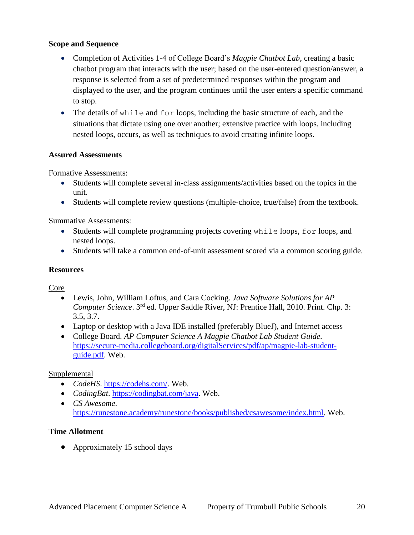#### **Scope and Sequence**

- Completion of Activities 1-4 of College Board's *Magpie Chatbot Lab*, creating a basic chatbot program that interacts with the user; based on the user-entered question/answer, a response is selected from a set of predetermined responses within the program and displayed to the user, and the program continues until the user enters a specific command to stop.
- The details of while and for loops, including the basic structure of each, and the situations that dictate using one over another; extensive practice with loops, including nested loops, occurs, as well as techniques to avoid creating infinite loops.

#### **Assured Assessments**

Formative Assessments:

- Students will complete several in-class assignments/activities based on the topics in the unit.
- Students will complete review questions (multiple-choice, true/false) from the textbook.

Summative Assessments:

- Students will complete programming projects covering while loops, for loops, and nested loops.
- Students will take a common end-of-unit assessment scored via a common scoring guide.

#### **Resources**

Core

- Lewis, John, William Loftus, and Cara Cocking. *Java Software Solutions for AP Computer Science*. 3rd ed. Upper Saddle River, NJ: Prentice Hall, 2010. Print. Chp. 3: 3.5, 3.7.
- Laptop or desktop with a Java IDE installed (preferably BlueJ), and Internet access
- College Board. *AP Computer Science A Magpie Chatbot Lab Student Guide*. [https://secure-media.collegeboard.org/digitalServices/pdf/ap/magpie-lab-student](https://secure-media.collegeboard.org/digitalServices/pdf/ap/magpie-lab-student-guide.pdf)[guide.pdf.](https://secure-media.collegeboard.org/digitalServices/pdf/ap/magpie-lab-student-guide.pdf) Web.

#### Supplemental

- *CodeHS*. [https://codehs.com/.](https://codehs.com/) Web.
- *CodingBat*. [https://codingbat.com/java.](https://codingbat.com/java) Web.
- *CS Awesome*. [https://runestone.academy/runestone/books/published/csawesome/index.html.](https://runestone.academy/runestone/books/published/csawesome/index.html) Web.

#### **Time Allotment**

• Approximately 15 school days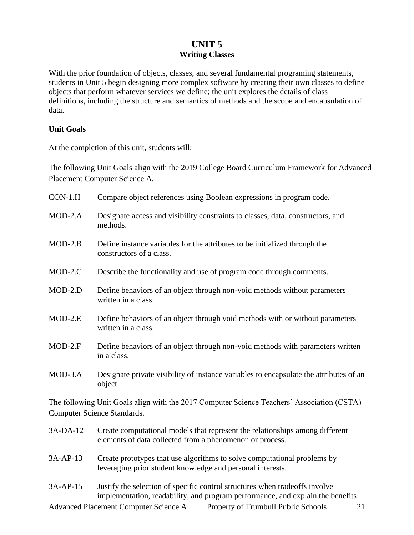## **UNIT 5 Writing Classes**

With the prior foundation of objects, classes, and several fundamental programing statements, students in Unit 5 begin designing more complex software by creating their own classes to define objects that perform whatever services we define; the unit explores the details of class definitions, including the structure and semantics of methods and the scope and encapsulation of data.

#### **Unit Goals**

At the completion of this unit, students will:

The following Unit Goals align with the 2019 College Board Curriculum Framework for Advanced Placement Computer Science A.

| $CON-1.H$ | Compare object references using Boolean expressions in program code.                                   |
|-----------|--------------------------------------------------------------------------------------------------------|
| $MOD-2.A$ | Designate access and visibility constraints to classes, data, constructors, and<br>methods.            |
| $MOD-2.B$ | Define instance variables for the attributes to be initialized through the<br>constructors of a class. |
| $MOD-2.C$ | Describe the functionality and use of program code through comments.                                   |
| $MOD-2.D$ | Define behaviors of an object through non-void methods without parameters<br>written in a class.       |
| $MOD-2.E$ | Define behaviors of an object through void methods with or without parameters<br>written in a class.   |
| $MOD-2.F$ | Define behaviors of an object through non-void methods with parameters written<br>in a class.          |
| $MOD-3.A$ | Designate private visibility of instance variables to encapsulate the attributes of an<br>object.      |

The following Unit Goals align with the 2017 Computer Science Teachers' Association (CSTA) Computer Science Standards.

| $3A-DA-12$ | Create computational models that represent the relationships among different |
|------------|------------------------------------------------------------------------------|
|            | elements of data collected from a phenomenon or process.                     |

- 3A-AP-13 Create prototypes that use algorithms to solve computational problems by leveraging prior student knowledge and personal interests.
- 3A-AP-15 Justify the selection of specific control structures when tradeoffs involve implementation, readability, and program performance, and explain the benefits

Advanced Placement Computer Science A Property of Trumbull Public Schools 21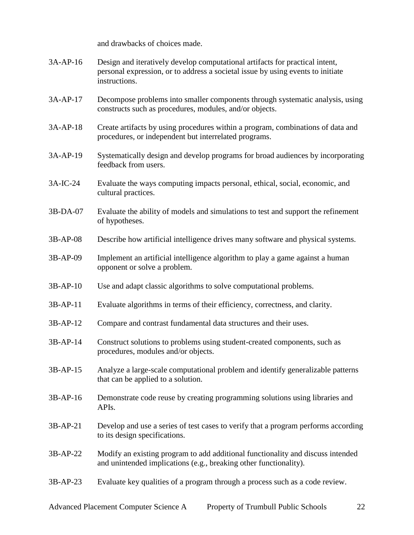and drawbacks of choices made.

- 3A-AP-16 Design and iteratively develop computational artifacts for practical intent, personal expression, or to address a societal issue by using events to initiate instructions.
- 3A-AP-17 Decompose problems into smaller components through systematic analysis, using constructs such as procedures, modules, and/or objects.
- 3A-AP-18 Create artifacts by using procedures within a program, combinations of data and procedures, or independent but interrelated programs.
- 3A-AP-19 Systematically design and develop programs for broad audiences by incorporating feedback from users.
- 3A-IC-24 Evaluate the ways computing impacts personal, ethical, social, economic, and cultural practices.
- 3B-DA-07 Evaluate the ability of models and simulations to test and support the refinement of hypotheses.
- 3B-AP-08 Describe how artificial intelligence drives many software and physical systems.
- 3B-AP-09 Implement an artificial intelligence algorithm to play a game against a human opponent or solve a problem.
- 3B-AP-10 Use and adapt classic algorithms to solve computational problems.
- 3B-AP-11 Evaluate algorithms in terms of their efficiency, correctness, and clarity.
- 3B-AP-12 Compare and contrast fundamental data structures and their uses.
- 3B-AP-14 Construct solutions to problems using student-created components, such as procedures, modules and/or objects.
- 3B-AP-15 Analyze a large-scale computational problem and identify generalizable patterns that can be applied to a solution.
- 3B-AP-16 Demonstrate code reuse by creating programming solutions using libraries and APIs.
- 3B-AP-21 Develop and use a series of test cases to verify that a program performs according to its design specifications.
- 3B-AP-22 Modify an existing program to add additional functionality and discuss intended and unintended implications (e.g., breaking other functionality).
- 3B-AP-23 Evaluate key qualities of a program through a process such as a code review.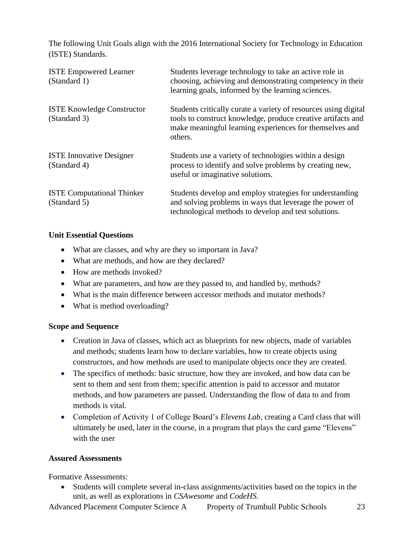The following Unit Goals align with the 2016 International Society for Technology in Education (ISTE) Standards.

| <b>ISTE Empowered Learner</b><br>(Standard 1)     | Students leverage technology to take an active role in<br>choosing, achieving and demonstrating competency in their<br>learning goals, informed by the learning sciences.                             |
|---------------------------------------------------|-------------------------------------------------------------------------------------------------------------------------------------------------------------------------------------------------------|
| <b>ISTE Knowledge Constructor</b><br>(Standard 3) | Students critically curate a variety of resources using digital<br>tools to construct knowledge, produce creative artifacts and<br>make meaningful learning experiences for themselves and<br>others. |
| <b>ISTE Innovative Designer</b><br>(Standard 4)   | Students use a variety of technologies within a design<br>process to identify and solve problems by creating new,<br>useful or imaginative solutions.                                                 |
| <b>ISTE Computational Thinker</b><br>(Standard 5) | Students develop and employ strategies for understanding<br>and solving problems in ways that leverage the power of<br>technological methods to develop and test solutions.                           |

#### **Unit Essential Questions**

- What are classes, and why are they so important in Java?
- What are methods, and how are they declared?
- How are methods invoked?
- What are parameters, and how are they passed to, and handled by, methods?
- What is the main difference between accessor methods and mutator methods?
- What is method overloading?

## **Scope and Sequence**

- Creation in Java of classes, which act as blueprints for new objects, made of variables and methods; students learn how to declare variables, how to create objects using constructors, and how methods are used to manipulate objects once they are created.
- The specifics of methods: basic structure, how they are invoked, and how data can be sent to them and sent from them; specific attention is paid to accessor and mutator methods, and how parameters are passed. Understanding the flow of data to and from methods is vital.
- Completion of Activity 1 of College Board's *Elevens Lab*, creating a Card class that will ultimately be used, later in the course, in a program that plays the card game "Elevens" with the user

## **Assured Assessments**

Formative Assessments:

 Students will complete several in-class assignments/activities based on the topics in the unit, as well as explorations in *CSAwesome* and *CodeHS*.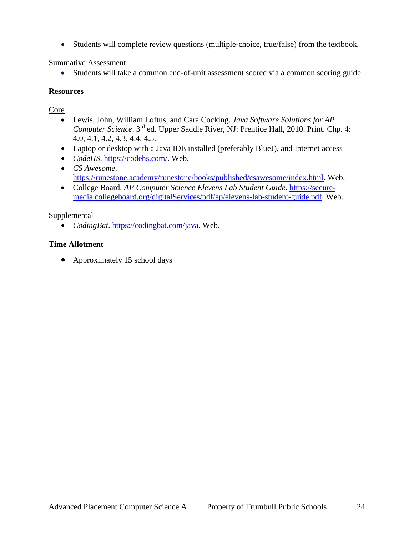Students will complete review questions (multiple-choice, true/false) from the textbook.

Summative Assessment:

Students will take a common end-of-unit assessment scored via a common scoring guide.

#### **Resources**

## Core

- Lewis, John, William Loftus, and Cara Cocking. *Java Software Solutions for AP Computer Science*. 3rd ed. Upper Saddle River, NJ: Prentice Hall, 2010. Print. Chp. 4: 4.0, 4.1, 4.2, 4.3, 4.4, 4.5.
- Laptop or desktop with a Java IDE installed (preferably BlueJ), and Internet access
- *CodeHS*. [https://codehs.com/.](https://codehs.com/) Web.
- *CS Awesome*. [https://runestone.academy/runestone/books/published/csawesome/index.html.](https://runestone.academy/runestone/books/published/csawesome/index.html) Web.
- College Board. *AP Computer Science Elevens Lab Student Guide*. [https://secure](https://secure-media.collegeboard.org/digitalServices/pdf/ap/elevens-lab-student-guide.pdf)[media.collegeboard.org/digitalServices/pdf/ap/elevens-lab-student-guide.pdf.](https://secure-media.collegeboard.org/digitalServices/pdf/ap/elevens-lab-student-guide.pdf) Web.

#### Supplemental

*CodingBat*. [https://codingbat.com/java.](https://codingbat.com/java) Web.

## **Time Allotment**

• Approximately 15 school days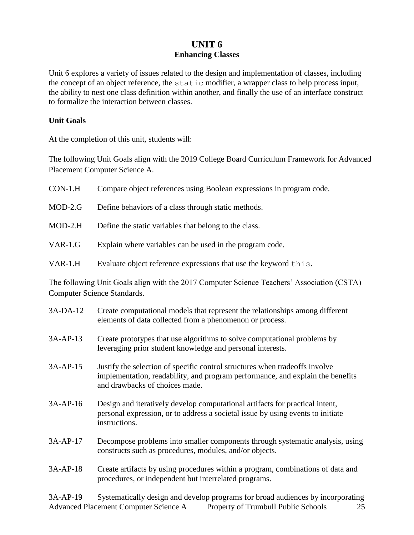## **UNIT 6 Enhancing Classes**

Unit 6 explores a variety of issues related to the design and implementation of classes, including the concept of an object reference, the static modifier, a wrapper class to help process input, the ability to nest one class definition within another, and finally the use of an interface construct to formalize the interaction between classes.

#### **Unit Goals**

At the completion of this unit, students will:

The following Unit Goals align with the 2019 College Board Curriculum Framework for Advanced Placement Computer Science A.

| $CON-1.H$ | Compare object references using Boolean expressions in program code. |
|-----------|----------------------------------------------------------------------|
| $MOD-2.G$ | Define behaviors of a class through static methods.                  |
| $MOD-2.H$ | Define the static variables that belong to the class.                |
| $VAR-1.G$ | Explain where variables can be used in the program code.             |
| VAR-1.H   | Evaluate object reference expressions that use the keyword this.     |

The following Unit Goals align with the 2017 Computer Science Teachers' Association (CSTA) Computer Science Standards.

| 3A-DA-12   | Create computational models that represent the relationships among different<br>elements of data collected from a phenomenon or process.                                                        |
|------------|-------------------------------------------------------------------------------------------------------------------------------------------------------------------------------------------------|
| 3A-AP-13   | Create prototypes that use algorithms to solve computational problems by<br>leveraging prior student knowledge and personal interests.                                                          |
| 3A-AP-15   | Justify the selection of specific control structures when tradeoffs involve<br>implementation, readability, and program performance, and explain the benefits<br>and drawbacks of choices made. |
| 3A-AP-16   | Design and iteratively develop computational artifacts for practical intent,<br>personal expression, or to address a societal issue by using events to initiate<br>instructions.                |
| 3A-AP-17   | Decompose problems into smaller components through systematic analysis, using<br>constructs such as procedures, modules, and/or objects.                                                        |
| 3A-AP-18   | Create artifacts by using procedures within a program, combinations of data and<br>procedures, or independent but interrelated programs.                                                        |
| 2 A A D 10 | Systematically docion and dovalop programs for broad audioness by incorporating                                                                                                                 |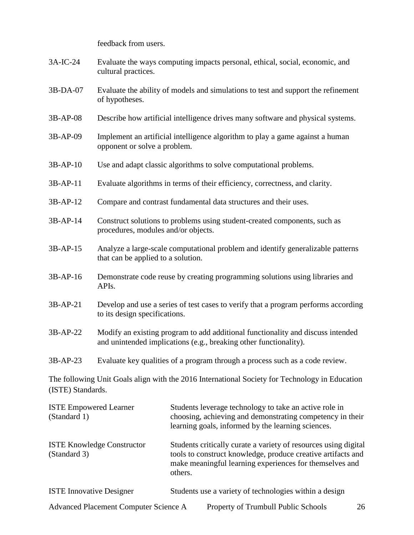feedback from users.

- 3A-IC-24 Evaluate the ways computing impacts personal, ethical, social, economic, and cultural practices.
- 3B-DA-07 Evaluate the ability of models and simulations to test and support the refinement of hypotheses.
- 3B-AP-08 Describe how artificial intelligence drives many software and physical systems.
- 3B-AP-09 Implement an artificial intelligence algorithm to play a game against a human opponent or solve a problem.
- 3B-AP-10 Use and adapt classic algorithms to solve computational problems.
- 3B-AP-11 Evaluate algorithms in terms of their efficiency, correctness, and clarity.
- 3B-AP-12 Compare and contrast fundamental data structures and their uses.
- 3B-AP-14 Construct solutions to problems using student-created components, such as procedures, modules and/or objects.
- 3B-AP-15 Analyze a large-scale computational problem and identify generalizable patterns that can be applied to a solution.
- 3B-AP-16 Demonstrate code reuse by creating programming solutions using libraries and APIs.
- 3B-AP-21 Develop and use a series of test cases to verify that a program performs according to its design specifications.
- 3B-AP-22 Modify an existing program to add additional functionality and discuss intended and unintended implications (e.g., breaking other functionality).
- 3B-AP-23 Evaluate key qualities of a program through a process such as a code review.

The following Unit Goals align with the 2016 International Society for Technology in Education (ISTE) Standards.

| <b>ISTE Empowered Learner</b><br>(Standard 1)     |         | Students leverage technology to take an active role in<br>choosing, achieving and demonstrating competency in their<br>learning goals, informed by the learning sciences.                  |    |
|---------------------------------------------------|---------|--------------------------------------------------------------------------------------------------------------------------------------------------------------------------------------------|----|
| <b>ISTE Knowledge Constructor</b><br>(Standard 3) | others. | Students critically curate a variety of resources using digital<br>tools to construct knowledge, produce creative artifacts and<br>make meaningful learning experiences for themselves and |    |
| <b>ISTE Innovative Designer</b>                   |         | Students use a variety of technologies within a design                                                                                                                                     |    |
| Advanced Placement Computer Science A             |         | Property of Trumbull Public Schools                                                                                                                                                        | 26 |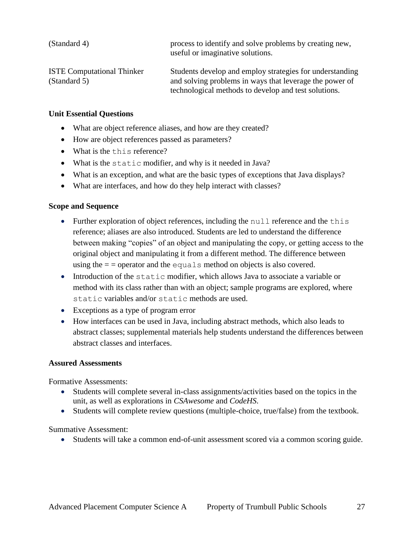| (Standard 4)                                      | process to identify and solve problems by creating new,<br>useful or imaginative solutions.                                                                                 |
|---------------------------------------------------|-----------------------------------------------------------------------------------------------------------------------------------------------------------------------------|
| <b>ISTE Computational Thinker</b><br>(Standard 5) | Students develop and employ strategies for understanding<br>and solving problems in ways that leverage the power of<br>technological methods to develop and test solutions. |

#### **Unit Essential Questions**

- What are object reference aliases, and how are they created?
- How are object references passed as parameters?
- What is the this reference?
- What is the static modifier, and why is it needed in Java?
- What is an exception, and what are the basic types of exceptions that Java displays?
- What are interfaces, and how do they help interact with classes?

#### **Scope and Sequence**

- Further exploration of object references, including the null reference and the this reference; aliases are also introduced. Students are led to understand the difference between making "copies" of an object and manipulating the copy, or getting access to the original object and manipulating it from a different method. The difference between using the  $=$  = operator and the equals method on objects is also covered.
- Introduction of the static modifier, which allows Java to associate a variable or method with its class rather than with an object; sample programs are explored, where static variables and/or static methods are used.
- Exceptions as a type of program error
- How interfaces can be used in Java, including abstract methods, which also leads to abstract classes; supplemental materials help students understand the differences between abstract classes and interfaces.

#### **Assured Assessments**

Formative Assessments:

- Students will complete several in-class assignments/activities based on the topics in the unit, as well as explorations in *CSAwesome* and *CodeHS*.
- Students will complete review questions (multiple-choice, true/false) from the textbook.

Summative Assessment:

Students will take a common end-of-unit assessment scored via a common scoring guide.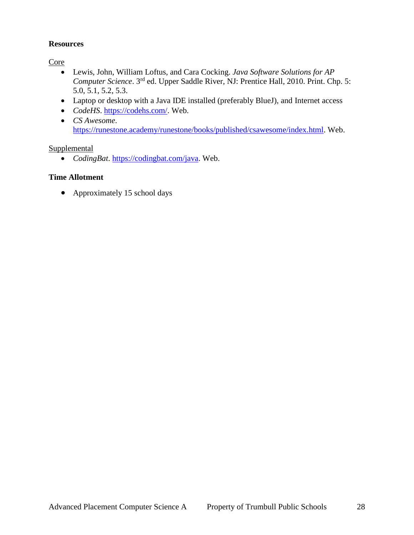#### **Resources**

**Core** 

- Lewis, John, William Loftus, and Cara Cocking. *Java Software Solutions for AP Computer Science*. 3<sup>rd</sup> ed. Upper Saddle River, NJ: Prentice Hall, 2010. Print. Chp. 5: 5.0, 5.1, 5.2, 5.3.
- Laptop or desktop with a Java IDE installed (preferably BlueJ), and Internet access
- *CodeHS*. [https://codehs.com/.](https://codehs.com/) Web.
- *CS Awesome*. [https://runestone.academy/runestone/books/published/csawesome/index.html.](https://runestone.academy/runestone/books/published/csawesome/index.html) Web.

#### Supplemental

*CodingBat*. [https://codingbat.com/java.](https://codingbat.com/java) Web.

#### **Time Allotment**

• Approximately 15 school days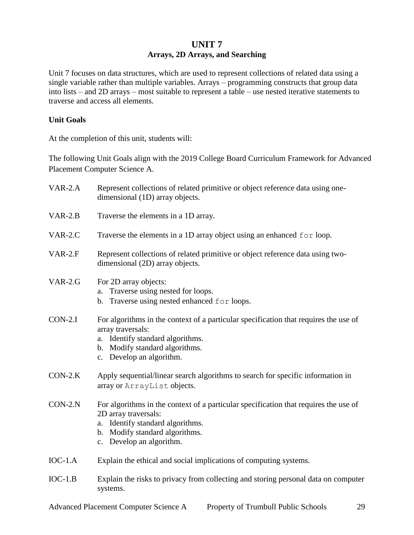## **UNIT 7 Arrays, 2D Arrays, and Searching**

Unit 7 focuses on data structures, which are used to represent collections of related data using a single variable rather than multiple variables. Arrays – programming constructs that group data into lists – and 2D arrays – most suitable to represent a table – use nested iterative statements to traverse and access all elements.

#### **Unit Goals**

At the completion of this unit, students will:

The following Unit Goals align with the 2019 College Board Curriculum Framework for Advanced Placement Computer Science A.

| VAR-2.A   | Represent collections of related primitive or object reference data using one-<br>dimensional (1D) array objects.                                                                                              |
|-----------|----------------------------------------------------------------------------------------------------------------------------------------------------------------------------------------------------------------|
| $VAR-2.B$ | Traverse the elements in a 1D array.                                                                                                                                                                           |
| VAR-2.C   | Traverse the elements in a 1D array object using an enhanced for loop.                                                                                                                                         |
| $VAR-2.F$ | Represent collections of related primitive or object reference data using two-<br>dimensional (2D) array objects.                                                                                              |
| $VAR-2.G$ | For 2D array objects:<br>Traverse using nested for loops.<br>a.<br>b. Traverse using nested enhanced for loops.                                                                                                |
| $CON-2.I$ | For algorithms in the context of a particular specification that requires the use of<br>array traversals:<br>a. Identify standard algorithms.<br>b. Modify standard algorithms.<br>c. Develop an algorithm.    |
| $CON-2.K$ | Apply sequential/linear search algorithms to search for specific information in<br>array or ArrayList objects.                                                                                                 |
| $CON-2.N$ | For algorithms in the context of a particular specification that requires the use of<br>2D array traversals:<br>a. Identify standard algorithms.<br>b. Modify standard algorithms.<br>c. Develop an algorithm. |
| $IOC-1.A$ | Explain the ethical and social implications of computing systems.                                                                                                                                              |
| $IOC-1.B$ | Explain the risks to privacy from collecting and storing personal data on computer<br>systems.                                                                                                                 |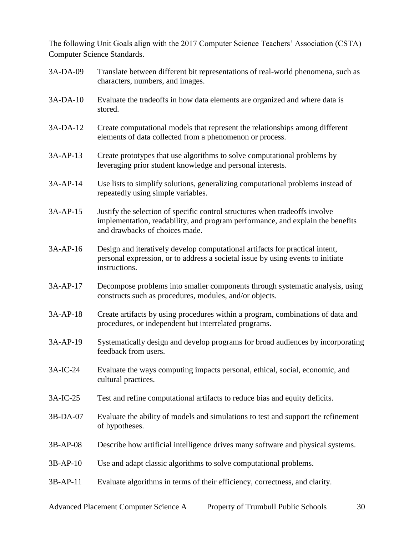The following Unit Goals align with the 2017 Computer Science Teachers' Association (CSTA) Computer Science Standards.

| 3A-DA-09   | Translate between different bit representations of real-world phenomena, such as<br>characters, numbers, and images.                                                                            |
|------------|-------------------------------------------------------------------------------------------------------------------------------------------------------------------------------------------------|
| 3A-DA-10   | Evaluate the tradeoffs in how data elements are organized and where data is<br>stored.                                                                                                          |
| 3A-DA-12   | Create computational models that represent the relationships among different<br>elements of data collected from a phenomenon or process.                                                        |
| 3A-AP-13   | Create prototypes that use algorithms to solve computational problems by<br>leveraging prior student knowledge and personal interests.                                                          |
| 3A-AP-14   | Use lists to simplify solutions, generalizing computational problems instead of<br>repeatedly using simple variables.                                                                           |
| 3A-AP-15   | Justify the selection of specific control structures when tradeoffs involve<br>implementation, readability, and program performance, and explain the benefits<br>and drawbacks of choices made. |
| 3A-AP-16   | Design and iteratively develop computational artifacts for practical intent,<br>personal expression, or to address a societal issue by using events to initiate<br>instructions.                |
| 3A-AP-17   | Decompose problems into smaller components through systematic analysis, using<br>constructs such as procedures, modules, and/or objects.                                                        |
| 3A-AP-18   | Create artifacts by using procedures within a program, combinations of data and<br>procedures, or independent but interrelated programs.                                                        |
| 3A-AP-19   | Systematically design and develop programs for broad audiences by incorporating<br>feedback from users.                                                                                         |
| 3A-IC-24   | Evaluate the ways computing impacts personal, ethical, social, economic, and<br>cultural practices.                                                                                             |
| 3A-IC-25   | Test and refine computational artifacts to reduce bias and equity deficits.                                                                                                                     |
| 3B-DA-07   | Evaluate the ability of models and simulations to test and support the refinement<br>of hypotheses.                                                                                             |
| 3B-AP-08   | Describe how artificial intelligence drives many software and physical systems.                                                                                                                 |
| 3B-AP-10   | Use and adapt classic algorithms to solve computational problems.                                                                                                                               |
| $3B-AP-11$ | Evaluate algorithms in terms of their efficiency, correctness, and clarity.                                                                                                                     |
|            |                                                                                                                                                                                                 |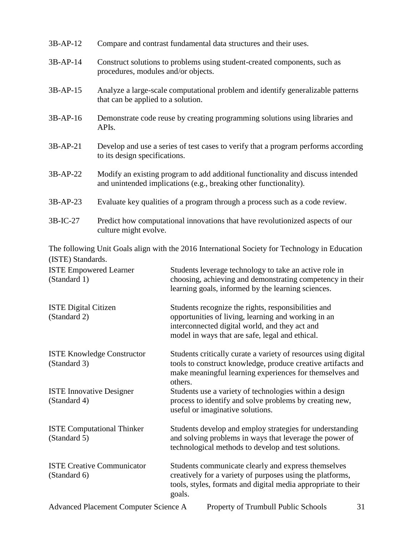| 3B-AP-12                                          | Compare and contrast fundamental data structures and their uses.                                                                                     |                                                                                                                                                                                                                 |
|---------------------------------------------------|------------------------------------------------------------------------------------------------------------------------------------------------------|-----------------------------------------------------------------------------------------------------------------------------------------------------------------------------------------------------------------|
| 3B-AP-14                                          | Construct solutions to problems using student-created components, such as<br>procedures, modules and/or objects.                                     |                                                                                                                                                                                                                 |
| 3B-AP-15                                          | Analyze a large-scale computational problem and identify generalizable patterns<br>that can be applied to a solution.                                |                                                                                                                                                                                                                 |
| 3B-AP-16                                          | Demonstrate code reuse by creating programming solutions using libraries and<br>APIs.                                                                |                                                                                                                                                                                                                 |
| 3B-AP-21                                          | Develop and use a series of test cases to verify that a program performs according<br>to its design specifications.                                  |                                                                                                                                                                                                                 |
| 3B-AP-22                                          | Modify an existing program to add additional functionality and discuss intended<br>and unintended implications (e.g., breaking other functionality). |                                                                                                                                                                                                                 |
| 3B-AP-23                                          | Evaluate key qualities of a program through a process such as a code review.                                                                         |                                                                                                                                                                                                                 |
| 3B-IC-27                                          | Predict how computational innovations that have revolutionized aspects of our<br>culture might evolve.                                               |                                                                                                                                                                                                                 |
| (ISTE) Standards.                                 |                                                                                                                                                      | The following Unit Goals align with the 2016 International Society for Technology in Education                                                                                                                  |
| <b>ISTE Empowered Learner</b><br>(Standard 1)     |                                                                                                                                                      | Students leverage technology to take an active role in<br>choosing, achieving and demonstrating competency in their<br>learning goals, informed by the learning sciences.                                       |
| <b>ISTE Digital Citizen</b><br>(Standard 2)       |                                                                                                                                                      | Students recognize the rights, responsibilities and<br>opportunities of living, learning and working in an<br>interconnected digital world, and they act and<br>model in ways that are safe, legal and ethical. |
| <b>ISTE Knowledge Constructor</b><br>(Standard 3) |                                                                                                                                                      | Students critically curate a variety of resources using digital<br>tools to construct knowledge, produce creative artifacts and<br>make meaningful learning experiences for themselves and<br>others.           |
| <b>ISTE Innovative Designer</b><br>(Standard 4)   |                                                                                                                                                      | Students use a variety of technologies within a design<br>process to identify and solve problems by creating new,<br>useful or imaginative solutions.                                                           |
| (Standard 5)                                      | <b>ISTE Computational Thinker</b>                                                                                                                    | Students develop and employ strategies for understanding<br>and solving problems in ways that leverage the power of<br>technological methods to develop and test solutions.                                     |
| <b>ISTE Creative Communicator</b><br>(Standard 6) |                                                                                                                                                      | Students communicate clearly and express themselves<br>creatively for a variety of purposes using the platforms,<br>tools, styles, formats and digital media appropriate to their<br>goals.                     |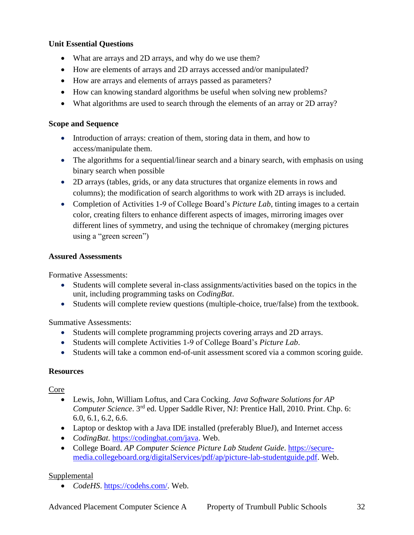#### **Unit Essential Questions**

- What are arrays and 2D arrays, and why do we use them?
- How are elements of arrays and 2D arrays accessed and/or manipulated?
- How are arrays and elements of arrays passed as parameters?
- How can knowing standard algorithms be useful when solving new problems?
- What algorithms are used to search through the elements of an array or 2D array?

#### **Scope and Sequence**

- Introduction of arrays: creation of them, storing data in them, and how to access/manipulate them.
- The algorithms for a sequential/linear search and a binary search, with emphasis on using binary search when possible
- 2D arrays (tables, grids, or any data structures that organize elements in rows and columns); the modification of search algorithms to work with 2D arrays is included.
- Completion of Activities 1-9 of College Board's *Picture Lab*, tinting images to a certain color, creating filters to enhance different aspects of images, mirroring images over different lines of symmetry, and using the technique of chromakey (merging pictures using a "green screen")

#### **Assured Assessments**

Formative Assessments:

- Students will complete several in-class assignments/activities based on the topics in the unit, including programming tasks on *CodingBat*.
- Students will complete review questions (multiple-choice, true/false) from the textbook.

Summative Assessments:

- Students will complete programming projects covering arrays and 2D arrays.
- Students will complete Activities 1-9 of College Board's *Picture Lab*.
- Students will take a common end-of-unit assessment scored via a common scoring guide.

#### **Resources**

Core

- Lewis, John, William Loftus, and Cara Cocking. *Java Software Solutions for AP Computer Science*. 3<sup>rd</sup> ed. Upper Saddle River, NJ: Prentice Hall, 2010. Print. Chp. 6: 6.0, 6.1, 6.2, 6.6.
- Laptop or desktop with a Java IDE installed (preferably BlueJ), and Internet access
- *CodingBat*. [https://codingbat.com/java.](https://codingbat.com/java) Web.
- College Board. *AP Computer Science Picture Lab Student Guide*. [https://secure](https://secure-media.collegeboard.org/digitalServices/pdf/ap/picture-lab-studentguide.pdf)[media.collegeboard.org/digitalServices/pdf/ap/picture-lab-studentguide.pdf.](https://secure-media.collegeboard.org/digitalServices/pdf/ap/picture-lab-studentguide.pdf) Web.

## Supplemental

*CodeHS*. [https://codehs.com/.](https://codehs.com/) Web.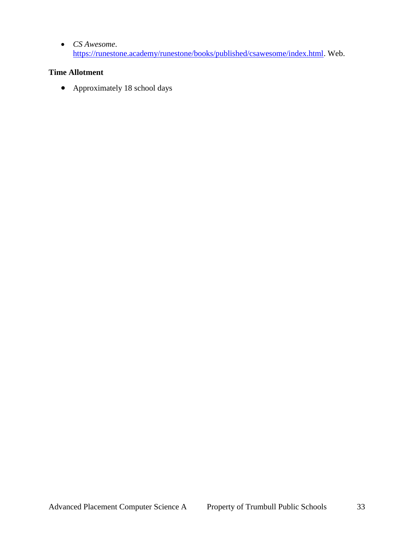*CS Awesome*. [https://runestone.academy/runestone/books/published/csawesome/index.html.](https://runestone.academy/runestone/books/published/csawesome/index.html) Web.

#### **Time Allotment**

• Approximately 18 school days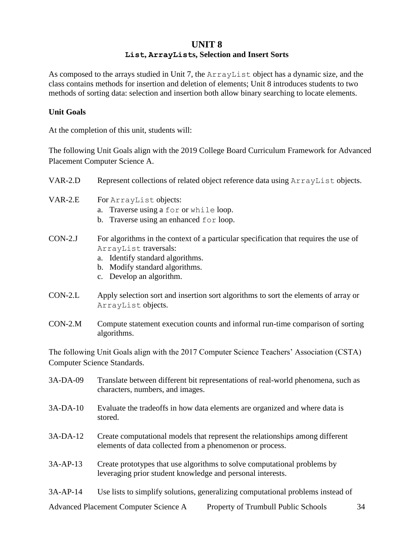## **UNIT 8 List, ArrayLists, Selection and Insert Sorts**

As composed to the arrays studied in Unit 7, the ArrayList object has a dynamic size, and the class contains methods for insertion and deletion of elements; Unit 8 introduces students to two methods of sorting data: selection and insertion both allow binary searching to locate elements.

#### **Unit Goals**

At the completion of this unit, students will:

stored.

The following Unit Goals align with the 2019 College Board Curriculum Framework for Advanced Placement Computer Science A.

| VAR-2.D   | Represent collections of related object reference data using ArrayList objects.                                                                                                                                 |  |
|-----------|-----------------------------------------------------------------------------------------------------------------------------------------------------------------------------------------------------------------|--|
| $VAR-2.E$ | For ArrayList objects:<br>Traverse using a for or while loop.<br>a.<br>b. Traverse using an enhanced for loop.                                                                                                  |  |
| $CON-2.J$ | For algorithms in the context of a particular specification that requires the use of<br>ArrayList traversals:<br>a. Identify standard algorithms.<br>b. Modify standard algorithms.<br>c. Develop an algorithm. |  |
| $CON-2.L$ | Apply selection sort and insertion sort algorithms to sort the elements of array or<br>ArrayList objects.                                                                                                       |  |
| $CON-2.M$ | Compute statement execution counts and informal run-time comparison of sorting<br>algorithms.                                                                                                                   |  |
|           | The following Unit Goals align with the 2017 Computer Science Teachers' Association (CSTA)<br>Computer Science Standards.                                                                                       |  |
| 3A-DA-09  | Translate between different bit representations of real-world phenomena, such as<br>characters, numbers, and images.                                                                                            |  |
| 3A-DA-10  | Evaluate the tradeoffs in how data elements are organized and where data is                                                                                                                                     |  |

- 3A-DA-12 Create computational models that represent the relationships among different elements of data collected from a phenomenon or process.
- 3A-AP-13 Create prototypes that use algorithms to solve computational problems by leveraging prior student knowledge and personal interests.
- 3A-AP-14 Use lists to simplify solutions, generalizing computational problems instead of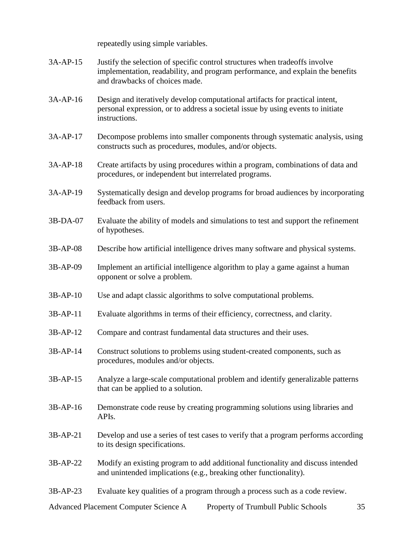repeatedly using simple variables.

- 3A-AP-15 Justify the selection of specific control structures when tradeoffs involve implementation, readability, and program performance, and explain the benefits and drawbacks of choices made.
- 3A-AP-16 Design and iteratively develop computational artifacts for practical intent, personal expression, or to address a societal issue by using events to initiate instructions.
- 3A-AP-17 Decompose problems into smaller components through systematic analysis, using constructs such as procedures, modules, and/or objects.
- 3A-AP-18 Create artifacts by using procedures within a program, combinations of data and procedures, or independent but interrelated programs.
- 3A-AP-19 Systematically design and develop programs for broad audiences by incorporating feedback from users.
- 3B-DA-07 Evaluate the ability of models and simulations to test and support the refinement of hypotheses.
- 3B-AP-08 Describe how artificial intelligence drives many software and physical systems.
- 3B-AP-09 Implement an artificial intelligence algorithm to play a game against a human opponent or solve a problem.
- 3B-AP-10 Use and adapt classic algorithms to solve computational problems.
- 3B-AP-11 Evaluate algorithms in terms of their efficiency, correctness, and clarity.
- 3B-AP-12 Compare and contrast fundamental data structures and their uses.
- 3B-AP-14 Construct solutions to problems using student-created components, such as procedures, modules and/or objects.
- 3B-AP-15 Analyze a large-scale computational problem and identify generalizable patterns that can be applied to a solution.
- 3B-AP-16 Demonstrate code reuse by creating programming solutions using libraries and APIs.
- 3B-AP-21 Develop and use a series of test cases to verify that a program performs according to its design specifications.
- 3B-AP-22 Modify an existing program to add additional functionality and discuss intended and unintended implications (e.g., breaking other functionality).
- 3B-AP-23 Evaluate key qualities of a program through a process such as a code review.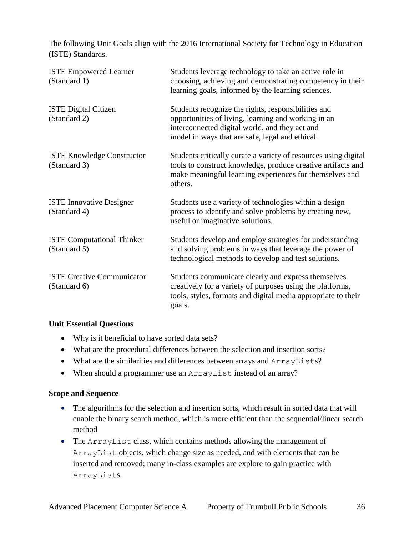The following Unit Goals align with the 2016 International Society for Technology in Education (ISTE) Standards.

| <b>ISTE Empowered Learner</b><br>(Standard 1)     | Students leverage technology to take an active role in<br>choosing, achieving and demonstrating competency in their<br>learning goals, informed by the learning sciences.                                       |
|---------------------------------------------------|-----------------------------------------------------------------------------------------------------------------------------------------------------------------------------------------------------------------|
| <b>ISTE Digital Citizen</b><br>(Standard 2)       | Students recognize the rights, responsibilities and<br>opportunities of living, learning and working in an<br>interconnected digital world, and they act and<br>model in ways that are safe, legal and ethical. |
| <b>ISTE Knowledge Constructor</b><br>(Standard 3) | Students critically curate a variety of resources using digital<br>tools to construct knowledge, produce creative artifacts and<br>make meaningful learning experiences for themselves and<br>others.           |
| <b>ISTE Innovative Designer</b><br>(Standard 4)   | Students use a variety of technologies within a design<br>process to identify and solve problems by creating new,<br>useful or imaginative solutions.                                                           |
| <b>ISTE Computational Thinker</b><br>(Standard 5) | Students develop and employ strategies for understanding<br>and solving problems in ways that leverage the power of<br>technological methods to develop and test solutions.                                     |
| <b>ISTE Creative Communicator</b><br>(Standard 6) | Students communicate clearly and express themselves<br>creatively for a variety of purposes using the platforms,<br>tools, styles, formats and digital media appropriate to their<br>goals.                     |

#### **Unit Essential Questions**

- Why is it beneficial to have sorted data sets?
- What are the procedural differences between the selection and insertion sorts?
- What are the similarities and differences between arrays and ArrayLists?
- When should a programmer use an ArrayList instead of an array?

#### **Scope and Sequence**

- The algorithms for the selection and insertion sorts, which result in sorted data that will enable the binary search method, which is more efficient than the sequential/linear search method
- The ArrayList class, which contains methods allowing the management of ArrayList objects, which change size as needed, and with elements that can be inserted and removed; many in-class examples are explore to gain practice with ArrayLists.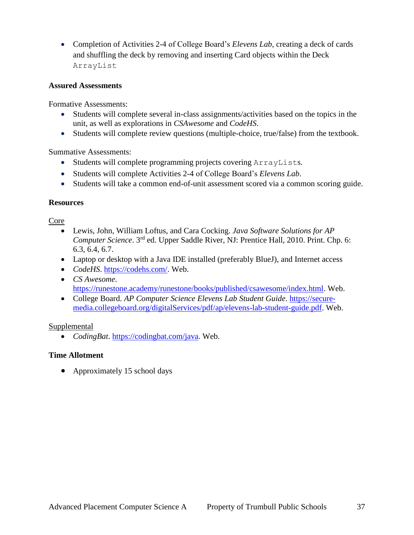Completion of Activities 2-4 of College Board's *Elevens Lab*, creating a deck of cards and shuffling the deck by removing and inserting Card objects within the Deck ArrayList

#### **Assured Assessments**

Formative Assessments:

- Students will complete several in-class assignments/activities based on the topics in the unit, as well as explorations in *CSAwesome* and *CodeHS*.
- Students will complete review questions (multiple-choice, true/false) from the textbook.

Summative Assessments:

- Students will complete programming projects covering ArrayLists.
- Students will complete Activities 2-4 of College Board's *Elevens Lab*.
- Students will take a common end-of-unit assessment scored via a common scoring guide.

#### **Resources**

Core

- Lewis, John, William Loftus, and Cara Cocking. *Java Software Solutions for AP Computer Science*. 3<sup>rd</sup> ed. Upper Saddle River, NJ: Prentice Hall, 2010. Print. Chp. 6: 6.3, 6.4, 6.7.
- Laptop or desktop with a Java IDE installed (preferably BlueJ), and Internet access
- *CodeHS*. [https://codehs.com/.](https://codehs.com/) Web.
- *CS Awesome*. [https://runestone.academy/runestone/books/published/csawesome/index.html.](https://runestone.academy/runestone/books/published/csawesome/index.html) Web.
- College Board. *AP Computer Science Elevens Lab Student Guide*. [https://secure](https://secure-media.collegeboard.org/digitalServices/pdf/ap/elevens-lab-student-guide.pdf)[media.collegeboard.org/digitalServices/pdf/ap/elevens-lab-student-guide.pdf.](https://secure-media.collegeboard.org/digitalServices/pdf/ap/elevens-lab-student-guide.pdf) Web.

#### **Supplemental**

*CodingBat*. [https://codingbat.com/java.](https://codingbat.com/java) Web.

## **Time Allotment**

• Approximately 15 school days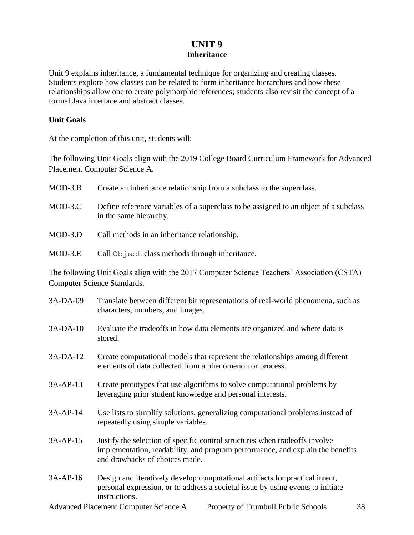## **UNIT 9 Inheritance**

Unit 9 explains inheritance, a fundamental technique for organizing and creating classes. Students explore how classes can be related to form inheritance hierarchies and how these relationships allow one to create polymorphic references; students also revisit the concept of a formal Java interface and abstract classes.

#### **Unit Goals**

At the completion of this unit, students will:

The following Unit Goals align with the 2019 College Board Curriculum Framework for Advanced Placement Computer Science A.

| $MOD-3.B$ | Create an inheritance relationship from a subclass to the superclass.                                          |
|-----------|----------------------------------------------------------------------------------------------------------------|
| $MOD-3.C$ | Define reference variables of a superclass to be assigned to an object of a subclass<br>in the same hierarchy. |
| $MOD-3.D$ | Call methods in an inheritance relationship.                                                                   |
| MOD-3.E   | Call Object class methods through inheritance.                                                                 |

The following Unit Goals align with the 2017 Computer Science Teachers' Association (CSTA) Computer Science Standards.

| 3A-DA-09   | Translate between different bit representations of real-world phenomena, such as<br>characters, numbers, and images.                                                                            |
|------------|-------------------------------------------------------------------------------------------------------------------------------------------------------------------------------------------------|
| $3A-DA-10$ | Evaluate the tradeoffs in how data elements are organized and where data is<br>stored.                                                                                                          |
| $3A-DA-12$ | Create computational models that represent the relationships among different<br>elements of data collected from a phenomenon or process.                                                        |
| $3A-AP-13$ | Create prototypes that use algorithms to solve computational problems by<br>leveraging prior student knowledge and personal interests.                                                          |
| $3A-AP-14$ | Use lists to simplify solutions, generalizing computational problems instead of<br>repeatedly using simple variables.                                                                           |
| $3A-AP-15$ | Justify the selection of specific control structures when tradeoffs involve<br>implementation, readability, and program performance, and explain the benefits<br>and drawbacks of choices made. |
| $3A-AP-16$ | Design and iteratively develop computational artifacts for practical intent,<br>personal expression, or to address a societal issue by using events to initiate<br>instructions.                |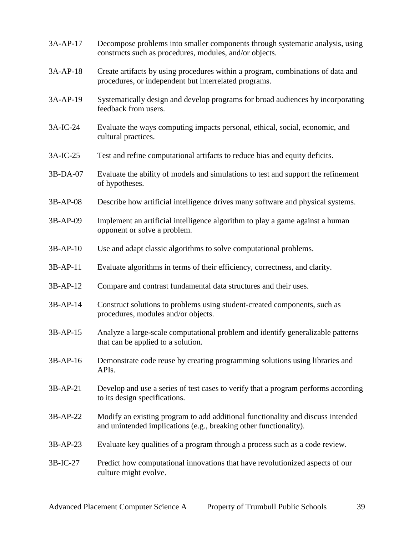| 3A-AP-17   | Decompose problems into smaller components through systematic analysis, using<br>constructs such as procedures, modules, and/or objects.             |
|------------|------------------------------------------------------------------------------------------------------------------------------------------------------|
| $3A-AP-18$ | Create artifacts by using procedures within a program, combinations of data and<br>procedures, or independent but interrelated programs.             |
| 3A-AP-19   | Systematically design and develop programs for broad audiences by incorporating<br>feedback from users.                                              |
| 3A-IC-24   | Evaluate the ways computing impacts personal, ethical, social, economic, and<br>cultural practices.                                                  |
| 3A-IC-25   | Test and refine computational artifacts to reduce bias and equity deficits.                                                                          |
| 3B-DA-07   | Evaluate the ability of models and simulations to test and support the refinement<br>of hypotheses.                                                  |
| 3B-AP-08   | Describe how artificial intelligence drives many software and physical systems.                                                                      |
| 3B-AP-09   | Implement an artificial intelligence algorithm to play a game against a human<br>opponent or solve a problem.                                        |
| 3B-AP-10   | Use and adapt classic algorithms to solve computational problems.                                                                                    |
| 3B-AP-11   | Evaluate algorithms in terms of their efficiency, correctness, and clarity.                                                                          |
| 3B-AP-12   | Compare and contrast fundamental data structures and their uses.                                                                                     |
| 3B-AP-14   | Construct solutions to problems using student-created components, such as<br>procedures, modules and/or objects.                                     |
| $3B-AP-15$ | Analyze a large-scale computational problem and identify generalizable patterns<br>that can be applied to a solution.                                |
| 3B-AP-16   | Demonstrate code reuse by creating programming solutions using libraries and<br>APIs.                                                                |
| 3B-AP-21   | Develop and use a series of test cases to verify that a program performs according<br>to its design specifications.                                  |
| 3B-AP-22   | Modify an existing program to add additional functionality and discuss intended<br>and unintended implications (e.g., breaking other functionality). |
| $3B-AP-23$ | Evaluate key qualities of a program through a process such as a code review.                                                                         |
| 3B-IC-27   | Predict how computational innovations that have revolutionized aspects of our<br>culture might evolve.                                               |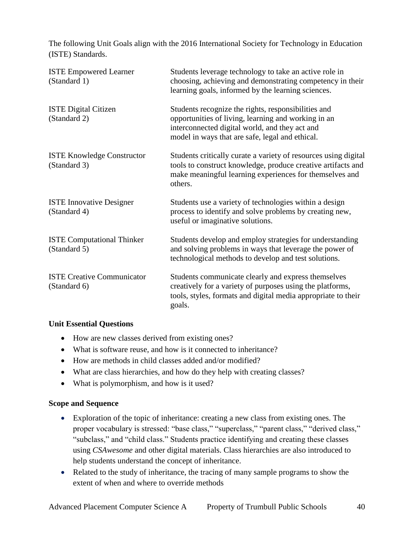The following Unit Goals align with the 2016 International Society for Technology in Education (ISTE) Standards.

| <b>ISTE Empowered Learner</b><br>(Standard 1)     | Students leverage technology to take an active role in<br>choosing, achieving and demonstrating competency in their<br>learning goals, informed by the learning sciences.                                       |
|---------------------------------------------------|-----------------------------------------------------------------------------------------------------------------------------------------------------------------------------------------------------------------|
| <b>ISTE Digital Citizen</b><br>(Standard 2)       | Students recognize the rights, responsibilities and<br>opportunities of living, learning and working in an<br>interconnected digital world, and they act and<br>model in ways that are safe, legal and ethical. |
| <b>ISTE Knowledge Constructor</b><br>(Standard 3) | Students critically curate a variety of resources using digital<br>tools to construct knowledge, produce creative artifacts and<br>make meaningful learning experiences for themselves and<br>others.           |
| <b>ISTE Innovative Designer</b><br>(Standard 4)   | Students use a variety of technologies within a design<br>process to identify and solve problems by creating new,<br>useful or imaginative solutions.                                                           |
| <b>ISTE Computational Thinker</b><br>(Standard 5) | Students develop and employ strategies for understanding<br>and solving problems in ways that leverage the power of<br>technological methods to develop and test solutions.                                     |
| <b>ISTE Creative Communicator</b><br>(Standard 6) | Students communicate clearly and express themselves<br>creatively for a variety of purposes using the platforms,<br>tools, styles, formats and digital media appropriate to their<br>goals.                     |

#### **Unit Essential Questions**

- How are new classes derived from existing ones?
- What is software reuse, and how is it connected to inheritance?
- How are methods in child classes added and/or modified?
- What are class hierarchies, and how do they help with creating classes?
- What is polymorphism, and how is it used?

#### **Scope and Sequence**

- Exploration of the topic of inheritance: creating a new class from existing ones. The proper vocabulary is stressed: "base class," "superclass," "parent class," "derived class," "subclass," and "child class." Students practice identifying and creating these classes using *CSAwesome* and other digital materials. Class hierarchies are also introduced to help students understand the concept of inheritance.
- Related to the study of inheritance, the tracing of many sample programs to show the extent of when and where to override methods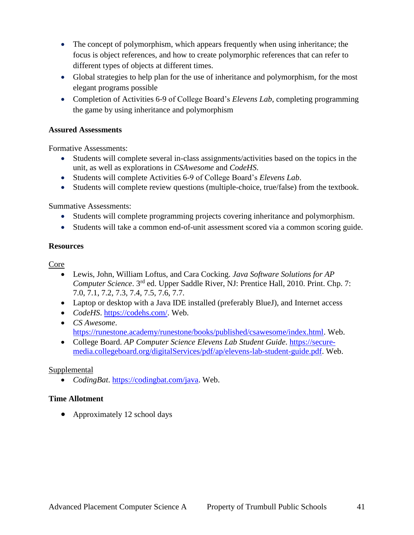- The concept of polymorphism, which appears frequently when using inheritance; the focus is object references, and how to create polymorphic references that can refer to different types of objects at different times.
- Global strategies to help plan for the use of inheritance and polymorphism, for the most elegant programs possible
- Completion of Activities 6-9 of College Board's *Elevens Lab*, completing programming the game by using inheritance and polymorphism

#### **Assured Assessments**

Formative Assessments:

- Students will complete several in-class assignments/activities based on the topics in the unit, as well as explorations in *CSAwesome* and *CodeHS*.
- Students will complete Activities 6-9 of College Board's *Elevens Lab*.
- Students will complete review questions (multiple-choice, true/false) from the textbook.

Summative Assessments:

- Students will complete programming projects covering inheritance and polymorphism.
- Students will take a common end-of-unit assessment scored via a common scoring guide.

#### **Resources**

Core

- Lewis, John, William Loftus, and Cara Cocking. *Java Software Solutions for AP Computer Science*. 3<sup>rd</sup> ed. Upper Saddle River, NJ: Prentice Hall, 2010. Print. Chp. 7: 7.0, 7.1, 7.2, 7.3, 7.4, 7.5, 7.6, 7.7.
- Laptop or desktop with a Java IDE installed (preferably BlueJ), and Internet access
- *CodeHS*. [https://codehs.com/.](https://codehs.com/) Web.
- *CS Awesome*. [https://runestone.academy/runestone/books/published/csawesome/index.html.](https://runestone.academy/runestone/books/published/csawesome/index.html) Web.
- College Board. *AP Computer Science Elevens Lab Student Guide*. [https://secure](https://secure-media.collegeboard.org/digitalServices/pdf/ap/elevens-lab-student-guide.pdf)[media.collegeboard.org/digitalServices/pdf/ap/elevens-lab-student-guide.pdf.](https://secure-media.collegeboard.org/digitalServices/pdf/ap/elevens-lab-student-guide.pdf) Web.

## Supplemental

*CodingBat*. [https://codingbat.com/java.](https://codingbat.com/java) Web.

## **Time Allotment**

• Approximately 12 school days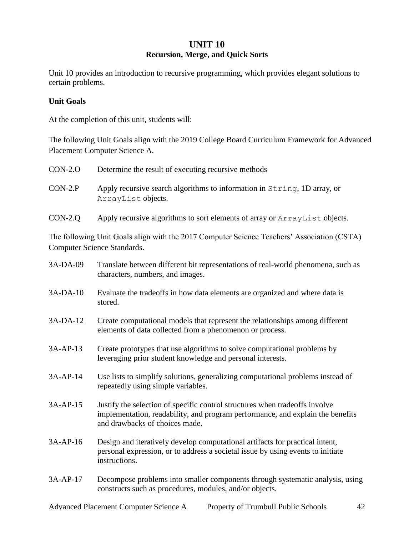## **UNIT 10 Recursion, Merge, and Quick Sorts**

Unit 10 provides an introduction to recursive programming, which provides elegant solutions to certain problems.

#### **Unit Goals**

At the completion of this unit, students will:

The following Unit Goals align with the 2019 College Board Curriculum Framework for Advanced Placement Computer Science A.

| $CON-2.0$ | Determine the result of executing recursive methods                                            |
|-----------|------------------------------------------------------------------------------------------------|
| $CON-2.P$ | Apply recursive search algorithms to information in String, 1D array, or<br>ArrayList objects. |
| $CON-2.Q$ | Apply recursive algorithms to sort elements of array or ArrayList objects.                     |

The following Unit Goals align with the 2017 Computer Science Teachers' Association (CSTA) Computer Science Standards.

| 3A-DA-09   | Translate between different bit representations of real-world phenomena, such as<br>characters, numbers, and images.                                                                            |
|------------|-------------------------------------------------------------------------------------------------------------------------------------------------------------------------------------------------|
| 3A-DA-10   | Evaluate the tradeoffs in how data elements are organized and where data is<br>stored.                                                                                                          |
| 3A-DA-12   | Create computational models that represent the relationships among different<br>elements of data collected from a phenomenon or process.                                                        |
| 3A-AP-13   | Create prototypes that use algorithms to solve computational problems by<br>leveraging prior student knowledge and personal interests.                                                          |
| $3A-AP-14$ | Use lists to simplify solutions, generalizing computational problems instead of<br>repeatedly using simple variables.                                                                           |
| $3A-AP-15$ | Justify the selection of specific control structures when tradeoffs involve<br>implementation, readability, and program performance, and explain the benefits<br>and drawbacks of choices made. |
| 3A-AP-16   | Design and iteratively develop computational artifacts for practical intent,<br>personal expression, or to address a societal issue by using events to initiate<br>instructions.                |
| 3A-AP-17   | Decompose problems into smaller components through systematic analysis, using<br>constructs such as procedures, modules, and/or objects.                                                        |
|            |                                                                                                                                                                                                 |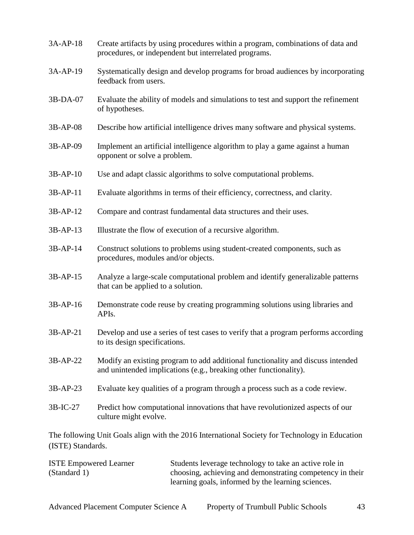| 3A-AP-18          | Create artifacts by using procedures within a program, combinations of data and<br>procedures, or independent but interrelated programs.             |
|-------------------|------------------------------------------------------------------------------------------------------------------------------------------------------|
| 3A-AP-19          | Systematically design and develop programs for broad audiences by incorporating<br>feedback from users.                                              |
| 3B-DA-07          | Evaluate the ability of models and simulations to test and support the refinement<br>of hypotheses.                                                  |
| 3B-AP-08          | Describe how artificial intelligence drives many software and physical systems.                                                                      |
| 3B-AP-09          | Implement an artificial intelligence algorithm to play a game against a human<br>opponent or solve a problem.                                        |
| $3B-AP-10$        | Use and adapt classic algorithms to solve computational problems.                                                                                    |
| 3B-AP-11          | Evaluate algorithms in terms of their efficiency, correctness, and clarity.                                                                          |
| $3B-AP-12$        | Compare and contrast fundamental data structures and their uses.                                                                                     |
| 3B-AP-13          | Illustrate the flow of execution of a recursive algorithm.                                                                                           |
| 3B-AP-14          | Construct solutions to problems using student-created components, such as<br>procedures, modules and/or objects.                                     |
| 3B-AP-15          | Analyze a large-scale computational problem and identify generalizable patterns<br>that can be applied to a solution.                                |
| 3B-AP-16          | Demonstrate code reuse by creating programming solutions using libraries and<br>APIs.                                                                |
| 3B-AP-21          | Develop and use a series of test cases to verify that a program performs according<br>to its design specifications.                                  |
| 3B-AP-22          | Modify an existing program to add additional functionality and discuss intended<br>and unintended implications (e.g., breaking other functionality). |
| 3B-AP-23          | Evaluate key qualities of a program through a process such as a code review.                                                                         |
| 3B-IC-27          | Predict how computational innovations that have revolutionized aspects of our<br>culture might evolve.                                               |
| (ISTE) Standards. | The following Unit Goals align with the 2016 International Society for Technology in Education                                                       |

| <b>ISTE Empowered Learner</b> | Students leverage technology to take an active role in    |
|-------------------------------|-----------------------------------------------------------|
| (Standard 1)                  | choosing, achieving and demonstrating competency in their |
|                               | learning goals, informed by the learning sciences.        |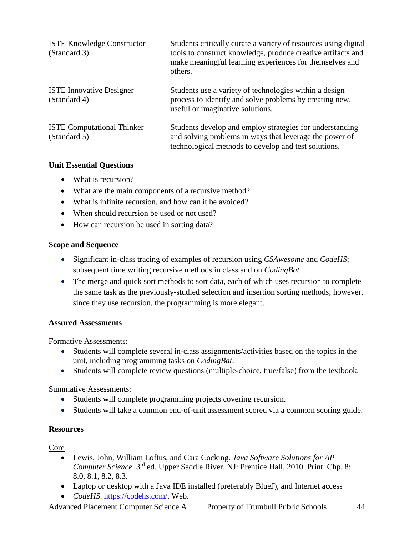| <b>ISTE Knowledge Constructor</b><br>(Standard 3) | Students critically curate a variety of resources using digital<br>tools to construct knowledge, produce creative artifacts and<br>make meaningful learning experiences for themselves and<br>others. |
|---------------------------------------------------|-------------------------------------------------------------------------------------------------------------------------------------------------------------------------------------------------------|
| <b>ISTE Innovative Designer</b><br>(Standard 4)   | Students use a variety of technologies within a design<br>process to identify and solve problems by creating new,<br>useful or imaginative solutions.                                                 |
| <b>ISTE Computational Thinker</b><br>(Standard 5) | Students develop and employ strategies for understanding<br>and solving problems in ways that leverage the power of<br>technological methods to develop and test solutions.                           |

#### **Unit Essential Questions**

- What is recursion?
- What are the main components of a recursive method?
- What is infinite recursion, and how can it be avoided?
- When should recursion be used or not used?
- How can recursion be used in sorting data?

#### **Scope and Sequence**

- Significant in-class tracing of examples of recursion using *CSAwesome* and *CodeHS*; subsequent time writing recursive methods in class and on *CodingBat*
- The merge and quick sort methods to sort data, each of which uses recursion to complete the same task as the previously-studied selection and insertion sorting methods; however, since they use recursion, the programming is more elegant.

#### **Assured Assessments**

Formative Assessments:

- Students will complete several in-class assignments/activities based on the topics in the unit, including programming tasks on *CodingBat*.
- Students will complete review questions (multiple-choice, true/false) from the textbook.

Summative Assessments:

- Students will complete programming projects covering recursion.
- Students will take a common end-of-unit assessment scored via a common scoring guide.

#### **Resources**

Core

- Lewis, John, William Loftus, and Cara Cocking. *Java Software Solutions for AP Computer Science*. 3rd ed. Upper Saddle River, NJ: Prentice Hall, 2010. Print. Chp. 8: 8.0, 8.1, 8.2, 8.3.
- Laptop or desktop with a Java IDE installed (preferably BlueJ), and Internet access
- *CodeHS*. [https://codehs.com/.](https://codehs.com/) Web.

Advanced Placement Computer Science A Property of Trumbull Public Schools 44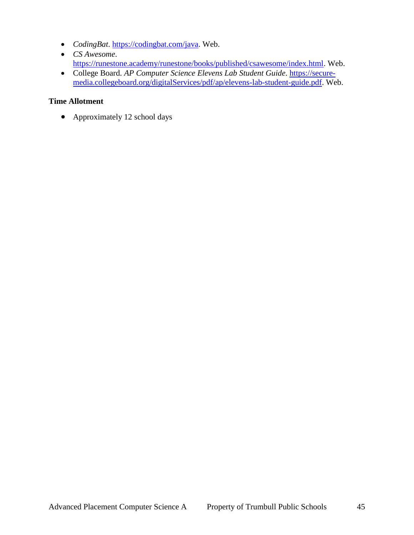- *CodingBat*. [https://codingbat.com/java.](https://codingbat.com/java) Web.
- *CS Awesome*. [https://runestone.academy/runestone/books/published/csawesome/index.html.](https://runestone.academy/runestone/books/published/csawesome/index.html) Web.
- College Board. *AP Computer Science Elevens Lab Student Guide*. [https://secure](https://secure-media.collegeboard.org/digitalServices/pdf/ap/elevens-lab-student-guide.pdf)[media.collegeboard.org/digitalServices/pdf/ap/elevens-lab-student-guide.pdf.](https://secure-media.collegeboard.org/digitalServices/pdf/ap/elevens-lab-student-guide.pdf) Web.

#### **Time Allotment**

• Approximately 12 school days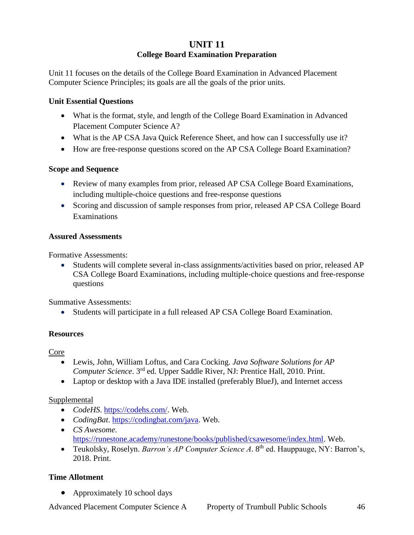## **UNIT 11 College Board Examination Preparation**

Unit 11 focuses on the details of the College Board Examination in Advanced Placement Computer Science Principles; its goals are all the goals of the prior units.

#### **Unit Essential Questions**

- What is the format, style, and length of the College Board Examination in Advanced Placement Computer Science A?
- What is the AP CSA Java Quick Reference Sheet, and how can I successfully use it?
- How are free-response questions scored on the AP CSA College Board Examination?

#### **Scope and Sequence**

- Review of many examples from prior, released AP CSA College Board Examinations, including multiple-choice questions and free-response questions
- Scoring and discussion of sample responses from prior, released AP CSA College Board Examinations

#### **Assured Assessments**

Formative Assessments:

 Students will complete several in-class assignments/activities based on prior, released AP CSA College Board Examinations, including multiple-choice questions and free-response questions

Summative Assessments:

Students will participate in a full released AP CSA College Board Examination.

## **Resources**

Core

- Lewis, John, William Loftus, and Cara Cocking. *Java Software Solutions for AP Computer Science*. 3rd ed. Upper Saddle River, NJ: Prentice Hall, 2010. Print.
- Laptop or desktop with a Java IDE installed (preferably BlueJ), and Internet access

## **Supplemental**

- *CodeHS*. [https://codehs.com/.](https://codehs.com/) Web.
- *CodingBat*. [https://codingbat.com/java.](https://codingbat.com/java) Web.
- *CS Awesome*. [https://runestone.academy/runestone/books/published/csawesome/index.html.](https://runestone.academy/runestone/books/published/csawesome/index.html) Web.
- Teukolsky, Roselyn. *Barron's AP Computer Science A.* 8<sup>th</sup> ed. Hauppauge, NY: Barron's, 2018. Print.

## **Time Allotment**

• Approximately 10 school days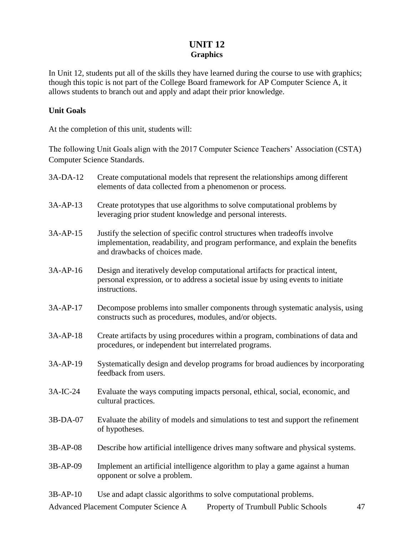## **UNIT 12 Graphics**

In Unit 12, students put all of the skills they have learned during the course to use with graphics; though this topic is not part of the College Board framework for AP Computer Science A, it allows students to branch out and apply and adapt their prior knowledge.

#### **Unit Goals**

At the completion of this unit, students will:

The following Unit Goals align with the 2017 Computer Science Teachers' Association (CSTA) Computer Science Standards.

| 3A-DA-12   | Create computational models that represent the relationships among different<br>elements of data collected from a phenomenon or process.                                                        |
|------------|-------------------------------------------------------------------------------------------------------------------------------------------------------------------------------------------------|
| 3A-AP-13   | Create prototypes that use algorithms to solve computational problems by<br>leveraging prior student knowledge and personal interests.                                                          |
| $3A-AP-15$ | Justify the selection of specific control structures when tradeoffs involve<br>implementation, readability, and program performance, and explain the benefits<br>and drawbacks of choices made. |
| 3A-AP-16   | Design and iteratively develop computational artifacts for practical intent,<br>personal expression, or to address a societal issue by using events to initiate<br>instructions.                |
| $3A-AP-17$ | Decompose problems into smaller components through systematic analysis, using<br>constructs such as procedures, modules, and/or objects.                                                        |
| 3A-AP-18   | Create artifacts by using procedures within a program, combinations of data and<br>procedures, or independent but interrelated programs.                                                        |
| 3A-AP-19   | Systematically design and develop programs for broad audiences by incorporating<br>feedback from users.                                                                                         |
| 3A-IC-24   | Evaluate the ways computing impacts personal, ethical, social, economic, and<br>cultural practices.                                                                                             |
| 3B-DA-07   | Evaluate the ability of models and simulations to test and support the refinement<br>of hypotheses.                                                                                             |
| 3B-AP-08   | Describe how artificial intelligence drives many software and physical systems.                                                                                                                 |
| 3B-AP-09   | Implement an artificial intelligence algorithm to play a game against a human<br>opponent or solve a problem.                                                                                   |
| $3B-AP-10$ | Use and adapt classic algorithms to solve computational problems.                                                                                                                               |

Advanced Placement Computer Science A Property of Trumbull Public Schools 47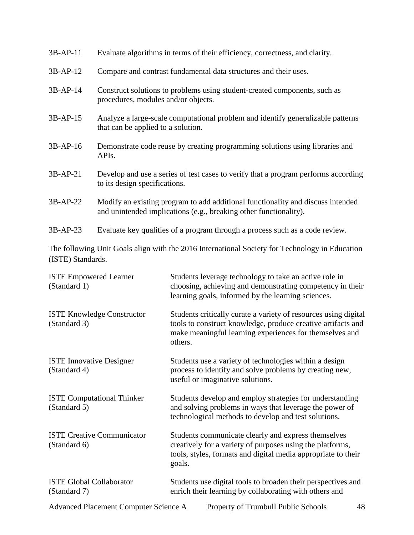| $3B-AP-11$ | Evaluate algorithms in terms of their efficiency, correctness, and clarity.                                                                          |
|------------|------------------------------------------------------------------------------------------------------------------------------------------------------|
| 3B-AP-12   | Compare and contrast fundamental data structures and their uses.                                                                                     |
| 3B-AP-14   | Construct solutions to problems using student-created components, such as<br>procedures, modules and/or objects.                                     |
| $3B-AP-15$ | Analyze a large-scale computational problem and identify generalizable patterns<br>that can be applied to a solution.                                |
| $3B-AP-16$ | Demonstrate code reuse by creating programming solutions using libraries and<br>APIs.                                                                |
| 3B-AP-21   | Develop and use a series of test cases to verify that a program performs according<br>to its design specifications.                                  |
| 3B-AP-22   | Modify an existing program to add additional functionality and discuss intended<br>and unintended implications (e.g., breaking other functionality). |
| $3B-AP-23$ | Evaluate key qualities of a program through a process such as a code review.                                                                         |

The following Unit Goals align with the 2016 International Society for Technology in Education (ISTE) Standards.

| <b>ISTE Empowered Learner</b><br>(Standard 1)     | Students leverage technology to take an active role in<br>choosing, achieving and demonstrating competency in their<br>learning goals, informed by the learning sciences.                             |
|---------------------------------------------------|-------------------------------------------------------------------------------------------------------------------------------------------------------------------------------------------------------|
| <b>ISTE Knowledge Constructor</b><br>(Standard 3) | Students critically curate a variety of resources using digital<br>tools to construct knowledge, produce creative artifacts and<br>make meaningful learning experiences for themselves and<br>others. |
| <b>ISTE Innovative Designer</b><br>(Standard 4)   | Students use a variety of technologies within a design<br>process to identify and solve problems by creating new,<br>useful or imaginative solutions.                                                 |
| <b>ISTE Computational Thinker</b><br>(Standard 5) | Students develop and employ strategies for understanding<br>and solving problems in ways that leverage the power of<br>technological methods to develop and test solutions.                           |
| <b>ISTE Creative Communicator</b><br>(Standard 6) | Students communicate clearly and express themselves<br>creatively for a variety of purposes using the platforms,<br>tools, styles, formats and digital media appropriate to their<br>goals.           |
| <b>ISTE Global Collaborator</b><br>(Standard 7)   | Students use digital tools to broaden their perspectives and<br>enrich their learning by collaborating with others and                                                                                |
| Advanced Placement Computer Science A             | Property of Trumbull Public Schools<br>48                                                                                                                                                             |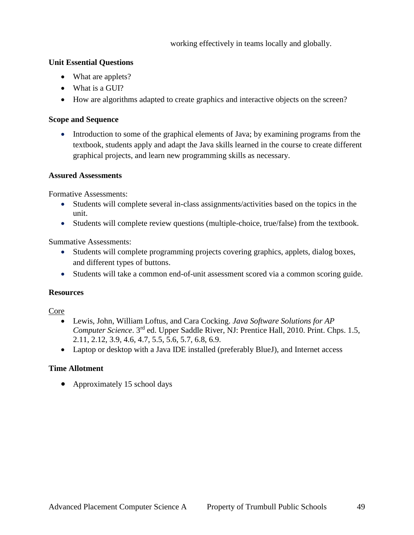working effectively in teams locally and globally.

#### **Unit Essential Questions**

- What are applets?
- What is a GUI?
- How are algorithms adapted to create graphics and interactive objects on the screen?

#### **Scope and Sequence**

• Introduction to some of the graphical elements of Java; by examining programs from the textbook, students apply and adapt the Java skills learned in the course to create different graphical projects, and learn new programming skills as necessary.

#### **Assured Assessments**

Formative Assessments:

- Students will complete several in-class assignments/activities based on the topics in the unit.
- Students will complete review questions (multiple-choice, true/false) from the textbook.

Summative Assessments:

- Students will complete programming projects covering graphics, applets, dialog boxes, and different types of buttons.
- Students will take a common end-of-unit assessment scored via a common scoring guide.

#### **Resources**

#### Core

- Lewis, John, William Loftus, and Cara Cocking. *Java Software Solutions for AP Computer Science*. 3rd ed. Upper Saddle River, NJ: Prentice Hall, 2010. Print. Chps. 1.5, 2.11, 2.12, 3.9, 4.6, 4.7, 5.5, 5.6, 5.7, 6.8, 6.9.
- Laptop or desktop with a Java IDE installed (preferably BlueJ), and Internet access

## **Time Allotment**

• Approximately 15 school days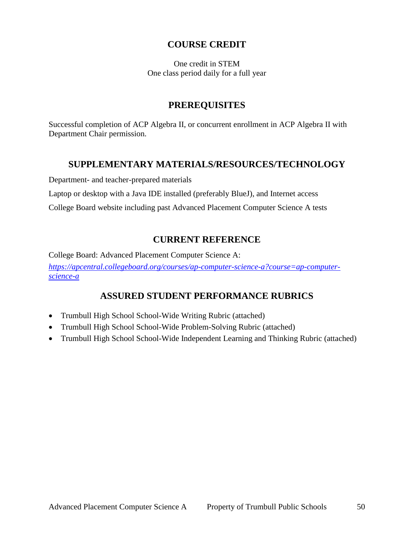## **COURSE CREDIT**

One credit in STEM One class period daily for a full year

## **PREREQUISITES**

Successful completion of ACP Algebra II, or concurrent enrollment in ACP Algebra II with Department Chair permission.

## **SUPPLEMENTARY MATERIALS/RESOURCES/TECHNOLOGY**

Department- and teacher-prepared materials

Laptop or desktop with a Java IDE installed (preferably BlueJ), and Internet access

College Board website including past Advanced Placement Computer Science A tests

## **CURRENT REFERENCE**

College Board: Advanced Placement Computer Science A: *[https://apcentral.collegeboard.org/courses/ap-computer-science-a?course=ap-computer](https://apcentral.collegeboard.org/courses/ap-computer-science-a?course=ap-computer-science-a)[science-a](https://apcentral.collegeboard.org/courses/ap-computer-science-a?course=ap-computer-science-a)*

## **ASSURED STUDENT PERFORMANCE RUBRICS**

- Trumbull High School School-Wide Writing Rubric (attached)
- Trumbull High School School-Wide Problem-Solving Rubric (attached)
- Trumbull High School School-Wide Independent Learning and Thinking Rubric (attached)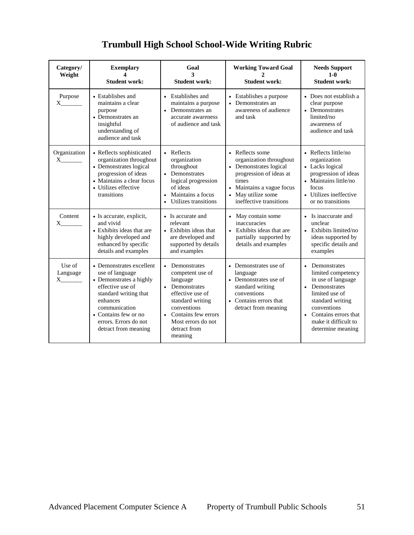## **Trumbull High School School-Wide Writing Rubric**

| Category/<br>Weight                                                                                                                                                                                                                                                                                                                                                                                                                                                                 | <b>Exemplary</b><br>4<br><b>Student work:</b>                                                                                                                                                                             | Goal<br>3<br><b>Student work:</b>                                                                                                                                                                                     | <b>Working Toward Goal</b><br><b>Student work:</b>                                                                                                                                     | <b>Needs Support</b><br>$1-0$<br><b>Student work:</b>                                                                                                                                                             |
|-------------------------------------------------------------------------------------------------------------------------------------------------------------------------------------------------------------------------------------------------------------------------------------------------------------------------------------------------------------------------------------------------------------------------------------------------------------------------------------|---------------------------------------------------------------------------------------------------------------------------------------------------------------------------------------------------------------------------|-----------------------------------------------------------------------------------------------------------------------------------------------------------------------------------------------------------------------|----------------------------------------------------------------------------------------------------------------------------------------------------------------------------------------|-------------------------------------------------------------------------------------------------------------------------------------------------------------------------------------------------------------------|
| Purpose<br>X.                                                                                                                                                                                                                                                                                                                                                                                                                                                                       | • Establishes and<br>maintains a clear<br>purpose<br>• Demonstrates an<br>insightful<br>understanding of<br>audience and task                                                                                             | • Establishes and<br>maintains a purpose<br>Demonstrates an<br>$\bullet$<br>accurate awareness<br>of audience and task                                                                                                | • Establishes a purpose<br>• Demonstrates an<br>awareness of audience<br>and task                                                                                                      | • Does not establish a<br>clear purpose<br>• Demonstrates<br>limited/no<br>awareness of<br>audience and task                                                                                                      |
| Organization<br>$\boldsymbol{\mathrm{X}}$ and $\boldsymbol{\mathrm{X}}$ and $\boldsymbol{\mathrm{X}}$ and $\boldsymbol{\mathrm{X}}$ and $\boldsymbol{\mathrm{X}}$ and $\boldsymbol{\mathrm{X}}$ and $\boldsymbol{\mathrm{X}}$ and $\boldsymbol{\mathrm{X}}$ and $\boldsymbol{\mathrm{X}}$ and $\boldsymbol{\mathrm{X}}$ and $\boldsymbol{\mathrm{X}}$ and $\boldsymbol{\mathrm{X}}$ and $\boldsymbol{\mathrm{X}}$ and $\boldsymbol{\mathrm{X}}$ and $\boldsymbol{\mathrm{X}}$       | • Reflects sophisticated<br>organization throughout<br>• Demonstrates logical<br>progression of ideas<br>• Maintains a clear focus<br>• Utilizes effective<br>transitions                                                 | • Reflects<br>organization<br>throughout<br>Demonstrates<br>logical progression<br>of ideas<br>Maintains a focus<br>$\bullet$<br>Utilizes transitions                                                                 | • Reflects some<br>organization throughout<br>• Demonstrates logical<br>progression of ideas at<br>times<br>• Maintains a vague focus<br>• May utilize some<br>ineffective transitions | • Reflects little/no<br>organization<br>• Lacks logical<br>progression of ideas<br>• Maintains little/no<br>focus<br>• Utilizes ineffective<br>or no transitions                                                  |
| Content<br>X.                                                                                                                                                                                                                                                                                                                                                                                                                                                                       | • Is accurate, explicit,<br>and vivid<br>• Exhibits ideas that are<br>highly developed and<br>enhanced by specific<br>details and examples                                                                                | • Is accurate and<br>relevant<br>• Exhibits ideas that<br>are developed and<br>supported by details<br>and examples                                                                                                   | • May contain some<br>inaccuracies<br>• Exhibits ideas that are<br>partially supported by<br>details and examples                                                                      | • Is inaccurate and<br>unclear<br>Exhibits limited/no<br>ideas supported by<br>specific details and<br>examples                                                                                                   |
| Use of<br>Language<br>$\boldsymbol{\mathrm{X}}$ and $\boldsymbol{\mathrm{X}}$ and $\boldsymbol{\mathrm{X}}$ and $\boldsymbol{\mathrm{X}}$ and $\boldsymbol{\mathrm{X}}$ and $\boldsymbol{\mathrm{X}}$ and $\boldsymbol{\mathrm{X}}$ and $\boldsymbol{\mathrm{X}}$ and $\boldsymbol{\mathrm{X}}$ and $\boldsymbol{\mathrm{X}}$ and $\boldsymbol{\mathrm{X}}$ and $\boldsymbol{\mathrm{X}}$ and $\boldsymbol{\mathrm{X}}$ and $\boldsymbol{\mathrm{X}}$ and $\boldsymbol{\mathrm{X}}$ | • Demonstrates excellent<br>use of language<br>• Demonstrates a highly<br>effective use of<br>standard writing that<br>enhances<br>communication<br>• Contains few or no<br>errors. Errors do not<br>detract from meaning | Demonstrates<br>$\bullet$<br>competent use of<br>language<br>Demonstrates<br>effective use of<br>standard writing<br>conventions<br>Contains few errors<br>$\bullet$<br>Most errors do not<br>detract from<br>meaning | • Demonstrates use of<br>language<br>• Demonstrates use of<br>standard writing<br>conventions<br>• Contains errors that<br>detract from meaning                                        | • Demonstrates<br>limited competency<br>in use of language<br>Demonstrates<br>limited use of<br>standard writing<br>conventions<br>Contains errors that<br>$\bullet$<br>make it difficult to<br>determine meaning |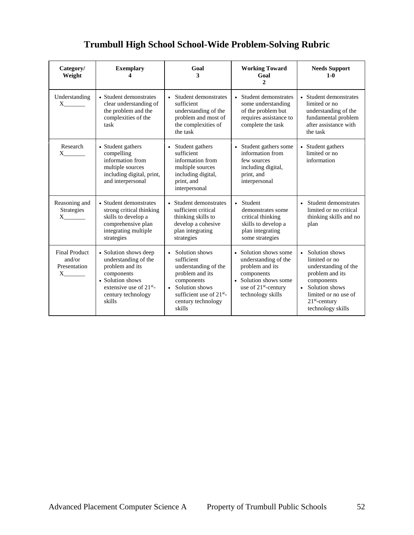| Category/<br>Weight                                        | <b>Exemplary</b>                                                                                                                                                          | Goal<br>3                                                                                                                                                                                      | <b>Working Toward</b><br>Goal<br>$\overline{c}$                                                                                                                  | <b>Needs Support</b><br>$1 - 0$                                                                                                                                                           |
|------------------------------------------------------------|---------------------------------------------------------------------------------------------------------------------------------------------------------------------------|------------------------------------------------------------------------------------------------------------------------------------------------------------------------------------------------|------------------------------------------------------------------------------------------------------------------------------------------------------------------|-------------------------------------------------------------------------------------------------------------------------------------------------------------------------------------------|
| Understanding<br>$X \sim$                                  | • Student demonstrates<br>clear understanding of<br>the problem and the<br>complexities of the<br>task                                                                    | Student demonstrates<br>$\bullet$<br>sufficient<br>understanding of the<br>problem and most of<br>the complexities of<br>the task                                                              | • Student demonstrates<br>some understanding<br>of the problem but<br>requires assistance to<br>complete the task                                                | • Student demonstrates<br>limited or no<br>understanding of the<br>fundamental problem<br>after assistance with<br>the task                                                               |
| Research<br>$X \sim$                                       | • Student gathers<br>compelling<br>information from<br>multiple sources<br>including digital, print,<br>and interpersonal                                                 | • Student gathers<br>sufficient<br>information from<br>multiple sources<br>including digital,<br>print, and<br>interpersonal                                                                   | • Student gathers some<br>information from<br>few sources<br>including digital,<br>print, and<br>interpersonal                                                   | • Student gathers<br>limited or no<br>information                                                                                                                                         |
| Reasoning and<br>Strategies<br>$X$ <sub>_________</sub>    | • Student demonstrates<br>strong critical thinking<br>skills to develop a<br>comprehensive plan<br>integrating multiple<br>strategies                                     | • Student demonstrates<br>sufficient critical<br>thinking skills to<br>develop a cohesive<br>plan integrating<br>strategies                                                                    | • Student<br>demonstrates some<br>critical thinking<br>skills to develop a<br>plan integrating<br>some strategies                                                | • Student demonstrates<br>limited or no critical<br>thinking skills and no<br>plan                                                                                                        |
| <b>Final Product</b><br>and/or<br>Presentation<br>$X \sim$ | • Solution shows deep<br>understanding of the<br>problem and its<br>components<br>• Solution shows<br>extensive use of 21 <sup>st</sup> -<br>century technology<br>skills | • Solution shows<br>sufficient<br>understanding of the<br>problem and its<br>components<br>Solution shows<br>$\bullet$<br>sufficient use of 21 <sup>st</sup> -<br>century technology<br>skills | • Solution shows some<br>understanding of the<br>problem and its<br>components<br>• Solution shows some<br>use of 21 <sup>st</sup> -century<br>technology skills | Solution shows<br>$\bullet$<br>limited or no<br>understanding of the<br>problem and its<br>components<br>• Solution shows<br>limited or no use of<br>$21st$ -century<br>technology skills |

## **Trumbull High School School-Wide Problem-Solving Rubric**